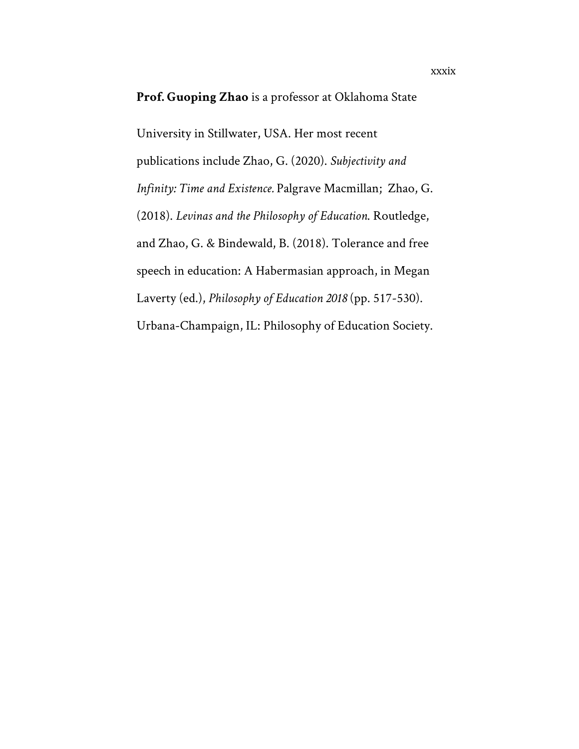#### **Prof. Guoping Zhao** is a professor at Oklahoma State

University in Stillwater, USA. Her most recent publications include Zhao, G. (2020). *Subjectivity and Infinity: Time and Existence.* Palgrave Macmillan; Zhao, G. (2018). *Levinas and the Philosophy of Education*. Routledge, and Zhao, G. & Bindewald, B. (2018). Tolerance and free speech in education: A Habermasian approach, in Megan Laverty (ed.), *Philosophy of Education 2018* (pp. 517-530). Urbana-Champaign, IL: Philosophy of Education Society.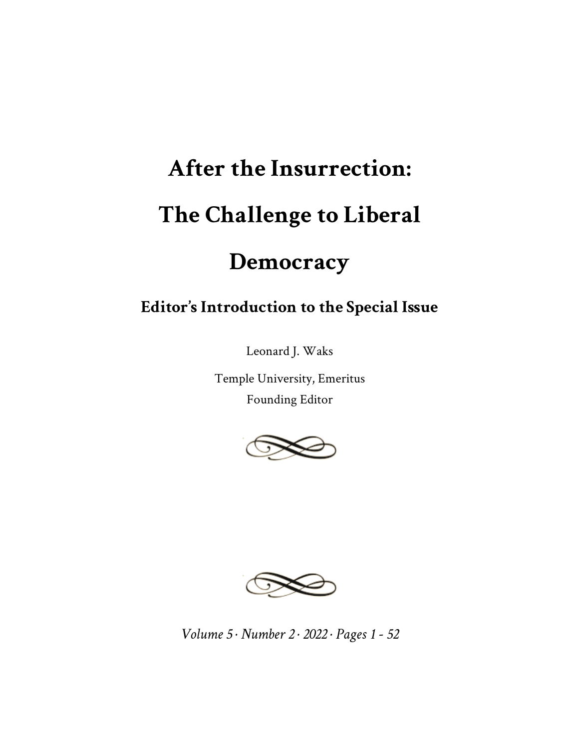# **After the Insurrection: The Challenge to Liberal**

## **Democracy**

### **Editor's Introduction to the Special Issue**

Leonard J. Waks

Temple University, Emeritus Founding Editor





*Volume 5 · Number 2 · 2022 · Pages 1 - 52*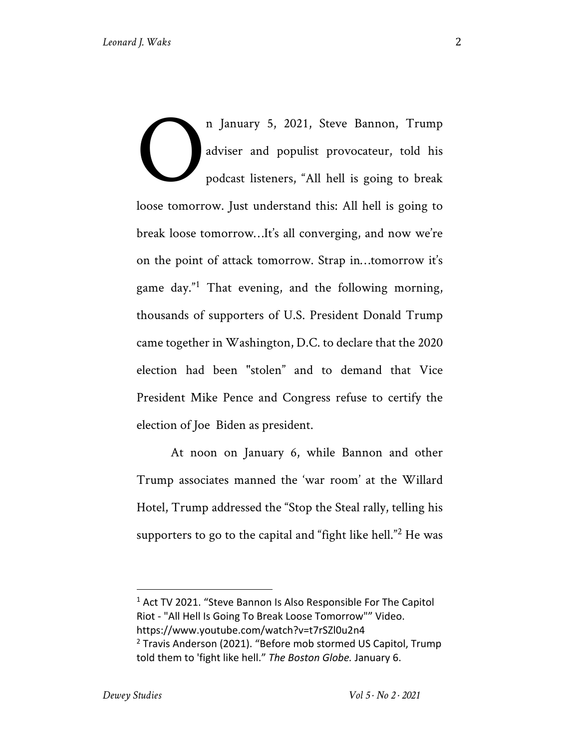n January 5, 2021, Steve Bannon, Trump adviser and populist provocateur, told his podcast listeners, "All hell is going to break loose tomorrow. Just understand this: All hell is going to break loose tomorrow…It's all converging, and now we're on the point of attack tomorrow. Strap in…tomorrow it's game day."<sup>1</sup> That evening, and the following morning, thousands of supporters of U.S. President Donald Trump came together in Washington, D.C. to declare that the 2020 election had been "stolen" and to demand that Vice President Mike Pence and Congress refuse to certify the election of Joe Biden as president. O

At noon on January 6, while Bannon and other Trump associates manned the 'war room' at the Willard Hotel, Trump addressed the "Stop the Steal rally, telling his supporters to go to the capital and "fight like hell."<sup>2</sup> He was

<sup>1</sup> Act TV 2021. "Steve Bannon Is Also Responsible For The Capitol Riot - "All Hell Is Going To Break Loose Tomorrow"" Video. https://www.youtube.com/watch?v=t7rSZl0u2n4 <sup>2</sup> Travis Anderson (2021). "Before mob stormed US Capitol, Trump told them to 'fight like hell." *The Boston Globe.* January 6.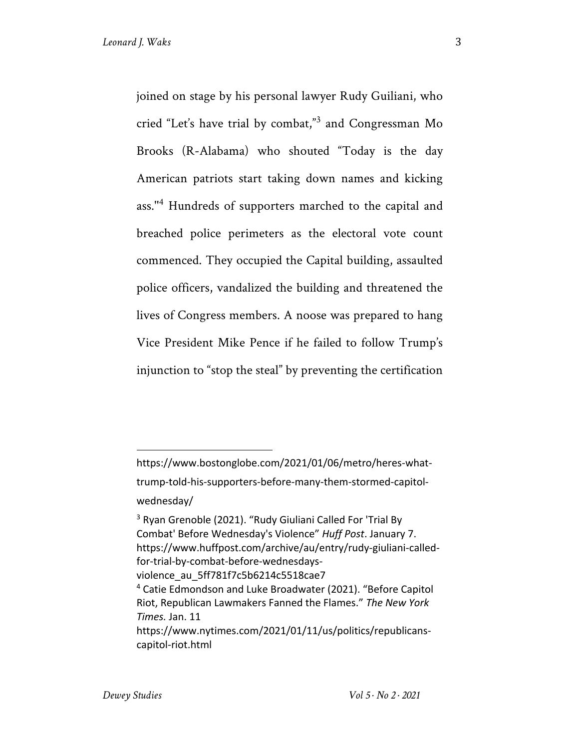joined on stage by his personal lawyer Rudy Guiliani, who cried "Let's have trial by combat,"<sup>3</sup> and Congressman Mo Brooks (R-Alabama) who shouted "Today is the day American patriots start taking down names and kicking ass.''<sup>4</sup> Hundreds of supporters marched to the capital and breached police perimeters as the electoral vote count commenced. They occupied the Capital building, assaulted police officers, vandalized the building and threatened the lives of Congress members. A noose was prepared to hang Vice President Mike Pence if he failed to follow Trump's injunction to "stop the steal" by preventing the certification

https://www.bostonglobe.com/2021/01/06/metro/heres-whattrump-told-his-supporters-before-many-them-stormed-capitolwednesday/

<sup>3</sup> Ryan Grenoble (2021). "Rudy Giuliani Called For 'Trial By Combat' Before Wednesday's Violence" *Huff Post*. January 7. https://www.huffpost.com/archive/au/entry/rudy-giuliani-calledfor-trial-by-combat-before-wednesdaysviolence au 5ff781f7c5b6214c5518cae7 <sup>4</sup> Catie Edmondson and Luke Broadwater (2021). "Before Capitol Riot, Republican Lawmakers Fanned the Flames." *The New York Times.* Jan. 11

https://www.nytimes.com/2021/01/11/us/politics/republicanscapitol-riot.html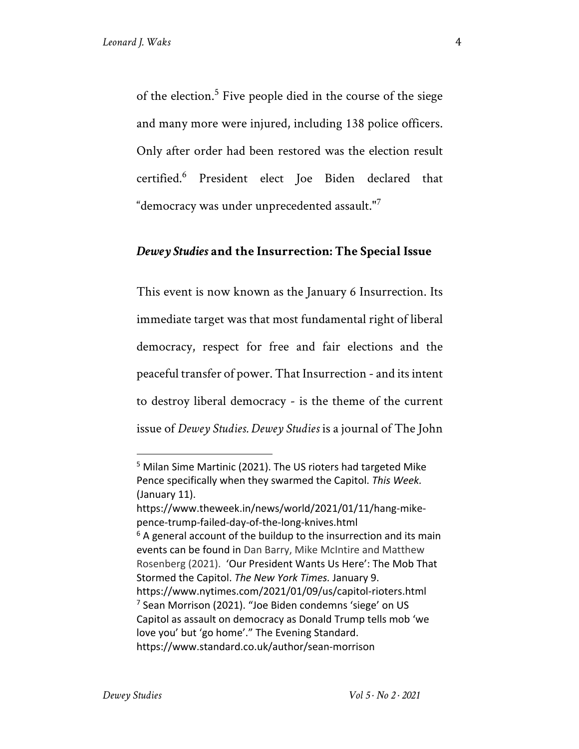of the election.<sup>5</sup> Five people died in the course of the siege and many more were injured, including 138 police officers. Only after order had been restored was the election result certified.<sup>6</sup> President elect Joe Biden declared that "democracy was under unprecedented assault." $^7$ 

#### *Dewey Studies* **and the Insurrection: The Special Issue**

This event is now known as the January 6 Insurrection. Its immediate target was that most fundamental right of liberal democracy, respect for free and fair elections and the peaceful transfer of power. That Insurrection - and its intent to destroy liberal democracy - is the theme of the current issue of *Dewey Studies. Dewey Studies* is a journal of The John

<sup>&</sup>lt;sup>5</sup> Milan Sime Martinic (2021). The US rioters had targeted Mike Pence specifically when they swarmed the Capitol. *This Week.* (January 11).

https://www.theweek.in/news/world/2021/01/11/hang-mikepence-trump-failed-day-of-the-long-knives.html

 $6$  A general account of the buildup to the insurrection and its main events can be found in Dan Barry, Mike McIntire and Matthew Rosenberg (2021). 'Our President Wants Us Here': The Mob That Stormed the Capitol. *The New York Times.* January 9. https://www.nytimes.com/2021/01/09/us/capitol-rioters.html  $<sup>7</sup>$  Sean Morrison (2021). "Joe Biden condemns 'siege' on US</sup> Capitol as assault on democracy as Donald Trump tells mob 'we love you' but 'go home'." The Evening Standard. https://www.standard.co.uk/author/sean-morrison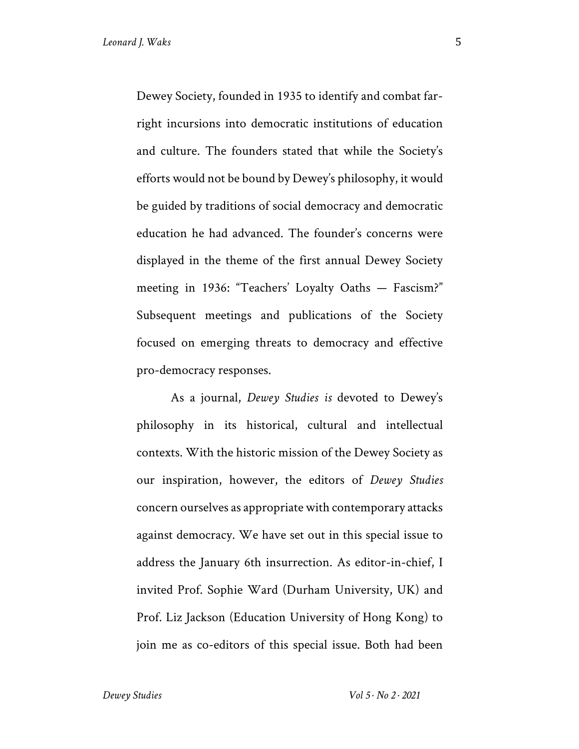Dewey Society, founded in 1935 to identify and combat farright incursions into democratic institutions of education and culture. The founders stated that while the Society's efforts would not be bound by Dewey's philosophy, it would be guided by traditions of social democracy and democratic education he had advanced. The founder's concerns were displayed in the theme of the first annual Dewey Society meeting in 1936: "Teachers' Loyalty Oaths — Fascism?" Subsequent meetings and publications of the Society focused on emerging threats to democracy and effective pro-democracy responses.

As a journal, *Dewey Studies is* devoted to Dewey's philosophy in its historical, cultural and intellectual contexts. With the historic mission of the Dewey Society as our inspiration, however, the editors of *Dewey Studies* concern ourselves as appropriate with contemporary attacks against democracy. We have set out in this special issue to address the January 6th insurrection. As editor-in-chief, I invited Prof. Sophie Ward (Durham University, UK) and Prof. Liz Jackson (Education University of Hong Kong) to join me as co-editors of this special issue. Both had been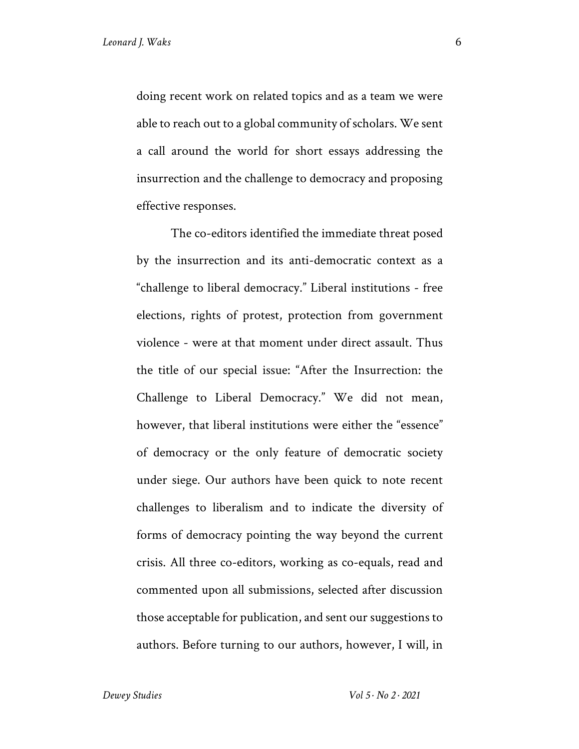doing recent work on related topics and as a team we were able to reach out to a global community of scholars. We sent a call around the world for short essays addressing the insurrection and the challenge to democracy and proposing effective responses.

The co-editors identified the immediate threat posed by the insurrection and its anti-democratic context as a "challenge to liberal democracy." Liberal institutions - free elections, rights of protest, protection from government violence - were at that moment under direct assault. Thus the title of our special issue: "After the Insurrection: the Challenge to Liberal Democracy." We did not mean, however, that liberal institutions were either the "essence" of democracy or the only feature of democratic society under siege. Our authors have been quick to note recent challenges to liberalism and to indicate the diversity of forms of democracy pointing the way beyond the current crisis. All three co-editors, working as co-equals, read and commented upon all submissions, selected after discussion those acceptable for publication, and sent our suggestions to authors. Before turning to our authors, however, I will, in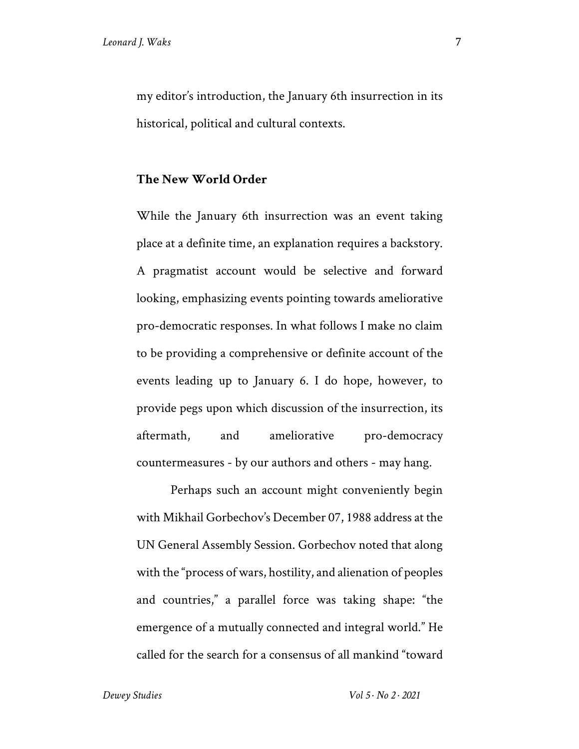my editor's introduction, the January 6th insurrection in its historical, political and cultural contexts.

#### **The New World Order**

While the January 6th insurrection was an event taking place at a definite time, an explanation requires a backstory. A pragmatist account would be selective and forward looking, emphasizing events pointing towards ameliorative pro-democratic responses. In what follows I make no claim to be providing a comprehensive or definite account of the events leading up to January 6. I do hope, however, to provide pegs upon which discussion of the insurrection, its aftermath, and ameliorative pro-democracy countermeasures - by our authors and others - may hang.

Perhaps such an account might conveniently begin with Mikhail Gorbechov's December 07, 1988 address at the UN General Assembly Session. Gorbechov noted that along with the "process of wars, hostility, and alienation of peoples and countries," a parallel force was taking shape: "the emergence of a mutually connected and integral world." He called for the search for a consensus of all mankind "toward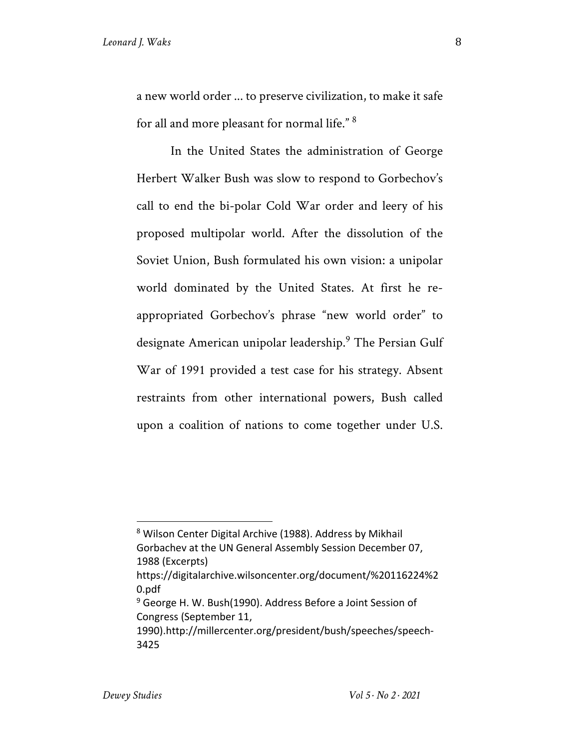a new world order ... to preserve civilization, to make it safe for all and more pleasant for normal life." 8

In the United States the administration of George Herbert Walker Bush was slow to respond to Gorbechov's call to end the bi-polar Cold War order and leery of his proposed multipolar world. After the dissolution of the Soviet Union, Bush formulated his own vision: a unipolar world dominated by the United States. At first he reappropriated Gorbechov's phrase "new world order" to designate American unipolar leadership.<sup>9</sup> The Persian Gulf War of 1991 provided a test case for his strategy. Absent restraints from other international powers, Bush called upon a coalition of nations to come together under U.S.

<sup>8</sup> Wilson Center Digital Archive (1988). Address by Mikhail Gorbachev at the UN General Assembly Session December 07, 1988 (Excerpts)

https://digitalarchive.wilsoncenter.org/document/%20116224%2 0.pdf

 $9$  George H. W. Bush(1990). Address Before a Joint Session of Congress (September 11,

<sup>1990).</sup>http://millercenter.org/president/bush/speeches/speech-3425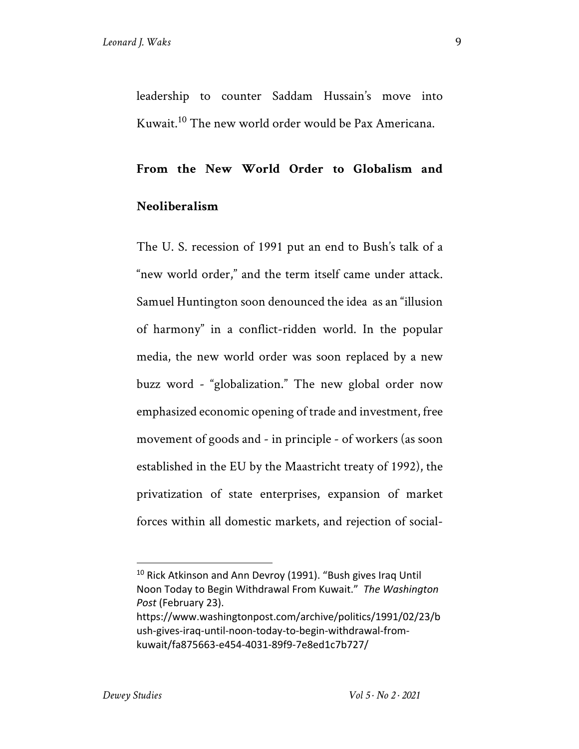leadership to counter Saddam Hussain's move into Kuwait.10 The new world order would be Pax Americana.

#### **From the New World Order to Globalism and**

#### **Neoliberalism**

The U. S. recession of 1991 put an end to Bush's talk of a "new world order," and the term itself came under attack. Samuel Huntington soon denounced the idea as an "illusion of harmony" in a conflict-ridden world. In the popular media, the new world order was soon replaced by a new buzz word - "globalization." The new global order now emphasized economic opening of trade and investment, free movement of goods and - in principle - of workers (as soon established in the EU by the Maastricht treaty of 1992), the privatization of state enterprises, expansion of market forces within all domestic markets, and rejection of social-

<sup>&</sup>lt;sup>10</sup> Rick Atkinson and Ann Devroy (1991). "Bush gives Iraq Until Noon Today to Begin Withdrawal From Kuwait." *The Washington Post* (February 23).

https://www.washingtonpost.com/archive/politics/1991/02/23/b ush-gives-iraq-until-noon-today-to-begin-withdrawal-fromkuwait/fa875663-e454-4031-89f9-7e8ed1c7b727/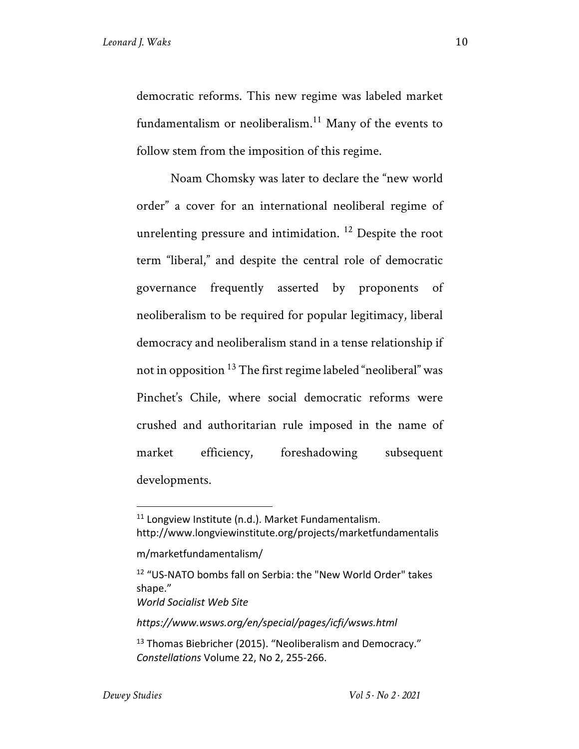democratic reforms. This new regime was labeled market fundamentalism or neoliberalism.<sup>11</sup> Many of the events to follow stem from the imposition of this regime.

Noam Chomsky was later to declare the "new world order" a cover for an international neoliberal regime of unrelenting pressure and intimidation.<sup>12</sup> Despite the root term "liberal," and despite the central role of democratic governance frequently asserted by proponents of neoliberalism to be required for popular legitimacy, liberal democracy and neoliberalism stand in a tense relationship if not in opposition 13 The first regime labeled "neoliberal" was Pinchet's Chile, where social democratic reforms were crushed and authoritarian rule imposed in the name of market efficiency, foreshadowing subsequent developments.

*World Socialist Web Site* 

*https://www.wsws.org/en/special/pages/icfi/wsws.html*

 $11$  Longview Institute (n.d.). Market Fundamentalism. http://www.longviewinstitute.org/projects/marketfundamentalis

m/marketfundamentalism/

<sup>12</sup> "US-NATO bombs fall on Serbia: the "New World Order" takes shape."

<sup>&</sup>lt;sup>13</sup> Thomas Biebricher (2015). "Neoliberalism and Democracy." *Constellations* Volume 22, No 2, 255-266.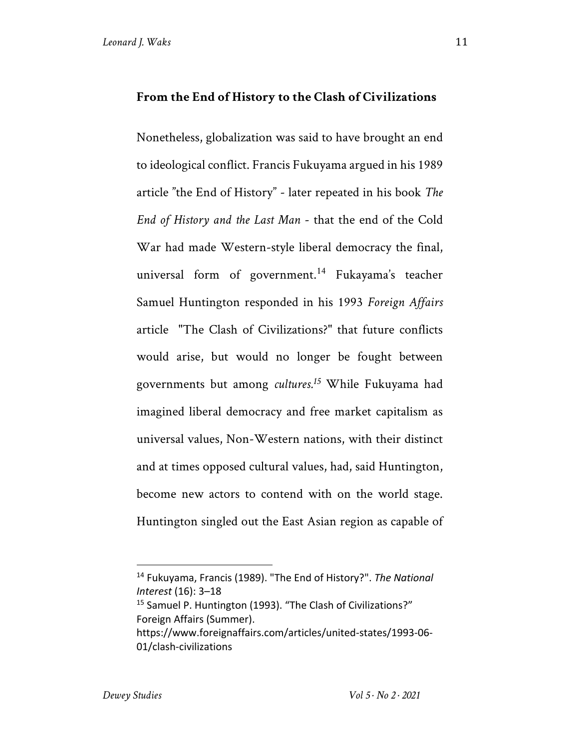#### **From the End of History to the Clash of Civilizations**

Nonetheless, globalization was said to have brought an end to ideological conflict. Francis Fukuyama argued in his 1989 article "the End of History" - later repeated in his book *The End of History and the Last Man* - that the end of the Cold War had made Western-style liberal democracy the final, universal form of government.<sup>14</sup> Fukayama's teacher Samuel Huntington responded in his 1993 *Foreign Affairs*  article "The Clash of Civilizations?" that future conflicts would arise, but would no longer be fought between governments but among *cultures.<sup>15</sup>* While Fukuyama had imagined liberal democracy and free market capitalism as universal values, Non-Western nations, with their distinct and at times opposed cultural values, had, said Huntington, become new actors to contend with on the world stage. Huntington singled out the East Asian region as capable of

<sup>14</sup> Fukuyama, Francis (1989). "The End of History?". *The National Interest* (16): 3–18

<sup>&</sup>lt;sup>15</sup> Samuel P. Huntington (1993). "The Clash of Civilizations?" Foreign Affairs (Summer).

https://www.foreignaffairs.com/articles/united-states/1993-06- 01/clash-civilizations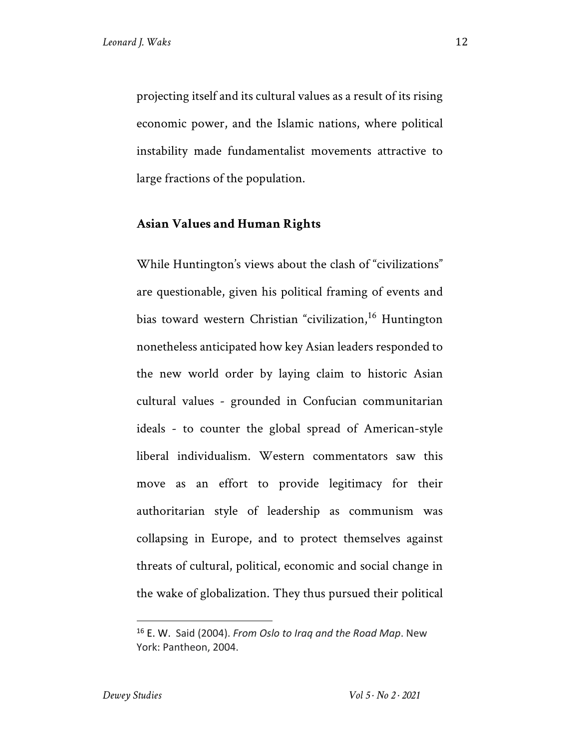projecting itself and its cultural values as a result of its rising economic power, and the Islamic nations, where political instability made fundamentalist movements attractive to large fractions of the population.

#### **Asian Values and Human Rights**

While Huntington's views about the clash of "civilizations" are questionable, given his political framing of events and bias toward western Christian "civilization,<sup>16</sup> Huntington nonetheless anticipated how key Asian leaders responded to the new world order by laying claim to historic Asian cultural values - grounded in Confucian communitarian ideals - to counter the global spread of American-style liberal individualism. Western commentators saw this move as an effort to provide legitimacy for their authoritarian style of leadership as communism was collapsing in Europe, and to protect themselves against threats of cultural, political, economic and social change in the wake of globalization. They thus pursued their political

<sup>16</sup> E. W. Said (2004). *From Oslo to Iraq and the Road Map*. New York: Pantheon, 2004.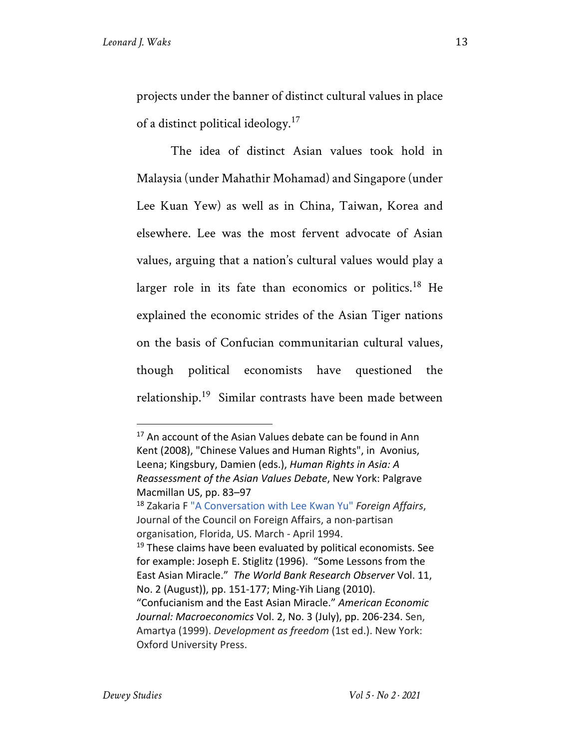projects under the banner of distinct cultural values in place of a distinct political ideology.<sup>17</sup>

The idea of distinct Asian values took hold in Malaysia (under Mahathir Mohamad) and Singapore (under Lee Kuan Yew) as well as in China, Taiwan, Korea and elsewhere. Lee was the most fervent advocate of Asian values, arguing that a nation's cultural values would play a larger role in its fate than economics or politics.<sup>18</sup> He explained the economic strides of the Asian Tiger nations on the basis of Confucian communitarian cultural values, though political economists have questioned the relationship.19 Similar contrasts have been made between

 $17$  An account of the Asian Values debate can be found in Ann Kent (2008), "Chinese Values and Human Rights", in Avonius, Leena; Kingsbury, Damien (eds.), *Human Rights in Asia: A Reassessment of the Asian Values Debate*, New York: Palgrave

Macmillan US, pp. 83–97<br><sup>18</sup> Zakaria F "A Conversation with Lee Kwan Yu" *Foreign Affairs*, Journal of the Council on Foreign Affairs, a non-partisan organisation, Florida, US. March - April 1994.  $19$  These claims have been evaluated by political economists. See for example: Joseph E. Stiglitz (1996). "Some Lessons from the East Asian Miracle." *The World Bank Research Observer* Vol. 11, No. 2 (August)), pp. 151-177; Ming-Yih Liang (2010). "Confucianism and the East Asian Miracle." *American Economic Journal: Macroeconomics* Vol. 2, No. 3 (July), pp. 206-234. Sen, Amartya (1999). *Development as freedom* (1st ed.). New York: Oxford University Press.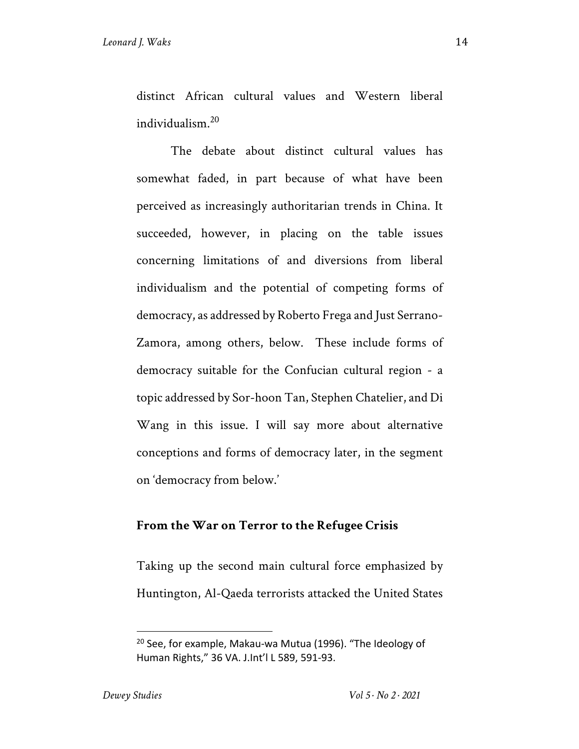distinct African cultural values and Western liberal individualism.20

The debate about distinct cultural values has somewhat faded, in part because of what have been perceived as increasingly authoritarian trends in China. It succeeded, however, in placing on the table issues concerning limitations of and diversions from liberal individualism and the potential of competing forms of democracy, as addressed by Roberto Frega and Just Serrano-Zamora, among others, below. These include forms of democracy suitable for the Confucian cultural region - a topic addressed by Sor-hoon Tan, Stephen Chatelier, and Di Wang in this issue. I will say more about alternative conceptions and forms of democracy later, in the segment on 'democracy from below.'

#### **From the War on Terror to the Refugee Crisis**

Taking up the second main cultural force emphasized by Huntington, Al-Qaeda terrorists attacked the United States

 $20$  See, for example, Makau-wa Mutua (1996). "The Ideology of Human Rights," 36 VA. J.Int'l L 589, 591-93.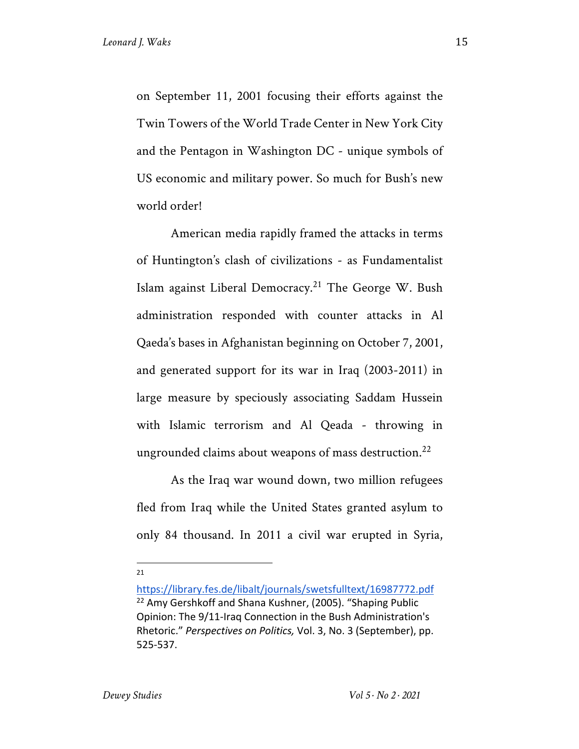on September 11, 2001 focusing their efforts against the Twin Towers of the World Trade Center in New York City and the Pentagon in Washington DC - unique symbols of US economic and military power. So much for Bush's new world order!

American media rapidly framed the attacks in terms of Huntington's clash of civilizations - as Fundamentalist Islam against Liberal Democracy.<sup>21</sup> The George W. Bush administration responded with counter attacks in Al Qaeda's bases in Afghanistan beginning on October 7, 2001, and generated support for its war in Iraq (2003-2011) in large measure by speciously associating Saddam Hussein with Islamic terrorism and Al Qeada - throwing in ungrounded claims about weapons of mass destruction.<sup>22</sup>

As the Iraq war wound down, two million refugees fled from Iraq while the United States granted asylum to only 84 thousand. In 2011 a civil war erupted in Syria,

21

https://library.fes.de/libalt/journals/swetsfulltext/16987772.pdf <sup>22</sup> Amy Gershkoff and Shana Kushner, (2005). "Shaping Public Opinion: The 9/11-Iraq Connection in the Bush Administration's Rhetoric." *Perspectives on Politics,* Vol. 3, No. 3 (September), pp. 525-537.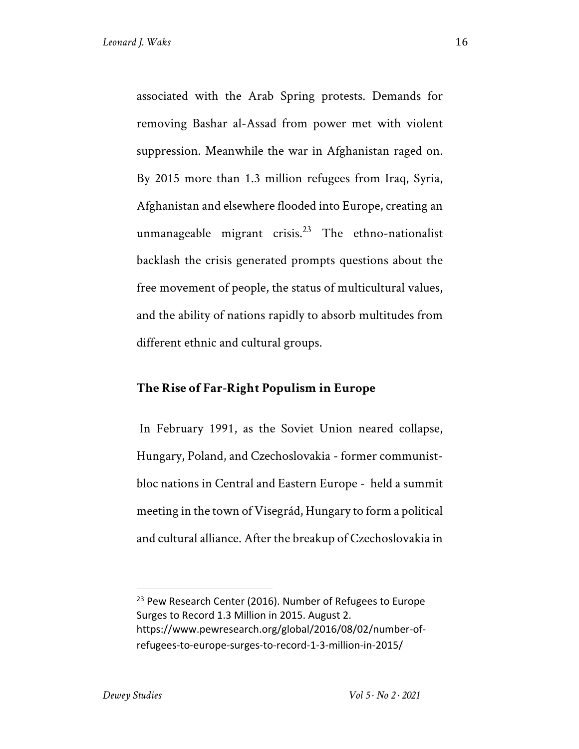associated with the Arab Spring protests. Demands for removing Bashar al-Assad from power met with violent suppression. Meanwhile the war in Afghanistan raged on. By 2015 more than 1.3 million refugees from Iraq, Syria, Afghanistan and elsewhere flooded into Europe, creating an unmanageable migrant crisis.<sup>23</sup> The ethno-nationalist backlash the crisis generated prompts questions about the free movement of people, the status of multicultural values, and the ability of nations rapidly to absorb multitudes from different ethnic and cultural groups.

#### **The Rise of Far-Right Populism in Europe**

In February 1991, as the Soviet Union neared collapse, Hungary, Poland, and Czechoslovakia - former communistbloc nations in Central and Eastern Europe - held a summit meeting in the town of Visegrád, Hungary to form a political and cultural alliance. After the breakup of Czechoslovakia in

<sup>&</sup>lt;sup>23</sup> Pew Research Center (2016). Number of Refugees to Europe Surges to Record 1.3 Million in 2015. August 2. https://www.pewresearch.org/global/2016/08/02/number-ofrefugees-to-europe-surges-to-record-1-3-million-in-2015/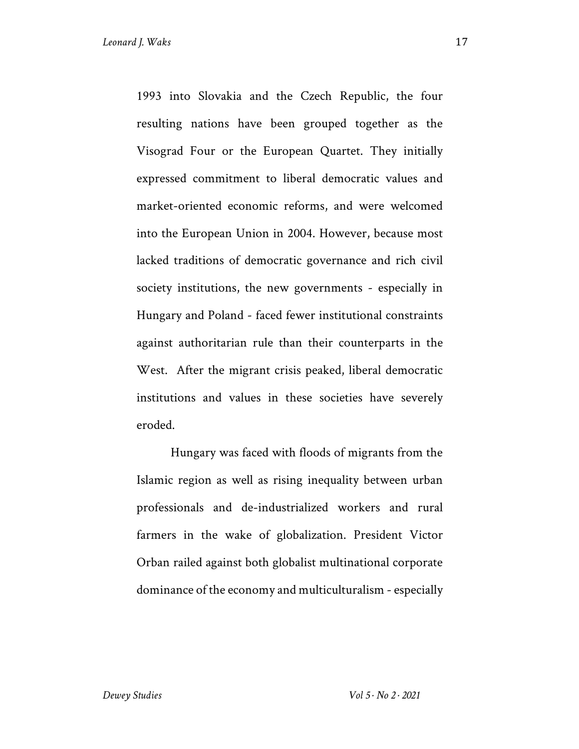1993 into Slovakia and the Czech Republic, the four resulting nations have been grouped together as the Visograd Four or the European Quartet. They initially expressed commitment to liberal democratic values and market-oriented economic reforms, and were welcomed into the European Union in 2004. However, because most lacked traditions of democratic governance and rich civil society institutions, the new governments - especially in Hungary and Poland - faced fewer institutional constraints against authoritarian rule than their counterparts in the West. After the migrant crisis peaked, liberal democratic institutions and values in these societies have severely eroded.

Hungary was faced with floods of migrants from the Islamic region as well as rising inequality between urban professionals and de-industrialized workers and rural farmers in the wake of globalization. President Victor Orban railed against both globalist multinational corporate dominance of the economy and multiculturalism - especially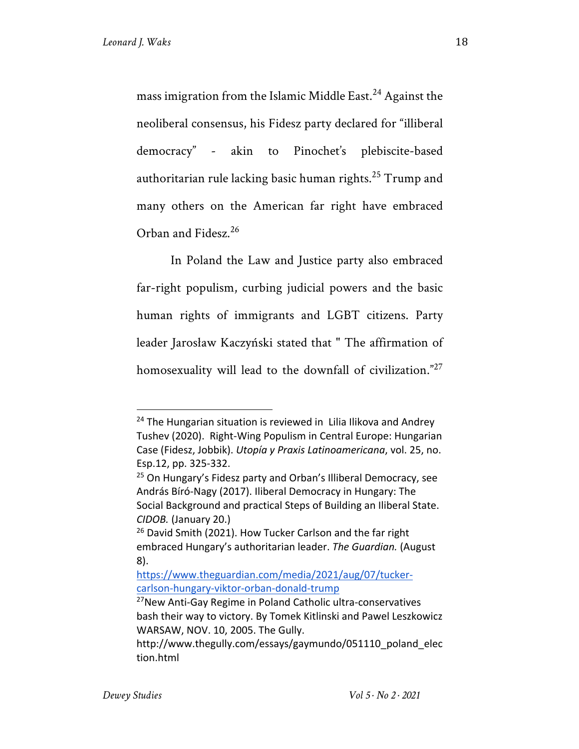mass imigration from the Islamic Middle East.<sup>24</sup> Against the neoliberal consensus, his Fidesz party declared for "illiberal democracy" - akin to Pinochet's plebiscite-based authoritarian rule lacking basic human rights.<sup>25</sup> Trump and many others on the American far right have embraced Orban and Fidesz.<sup>26</sup>

In Poland the Law and Justice party also embraced far-right populism, curbing judicial powers and the basic human rights of immigrants and LGBT citizens. Party leader Jarosław Kaczyński stated that " The affirmation of homosexuality will lead to the downfall of civilization."<sup>27</sup>

 $24$  The Hungarian situation is reviewed in Lilia Ilikova and Andrey Tushev (2020). Right-Wing Populism in Central Europe: Hungarian Case (Fidesz, Jobbik). *Utopía y Praxis Latinoamericana*, vol. 25, no. Esp.12, pp. 325-332.

<sup>&</sup>lt;sup>25</sup> On Hungary's Fidesz party and Orban's Illiberal Democracy, see András Bíró-Nagy (2017). Iliberal Democracy in Hungary: The Social Background and practical Steps of Building an Iliberal State. *CIDOB.* (January 20.)

<sup>&</sup>lt;sup>26</sup> David Smith (2021). How Tucker Carlson and the far right embraced Hungary's authoritarian leader. *The Guardian.* (August 8).

https://www.theguardian.com/media/2021/aug/07/tuckercarlson-hungary-viktor-orban-donald-trump

<sup>&</sup>lt;sup>27</sup>New Anti-Gay Regime in Poland Catholic ultra-conservatives bash their way to victory. By Tomek Kitlinski and Pawel Leszkowicz WARSAW, NOV. 10, 2005. The Gully.

http://www.thegully.com/essays/gaymundo/051110\_poland\_elec tion.html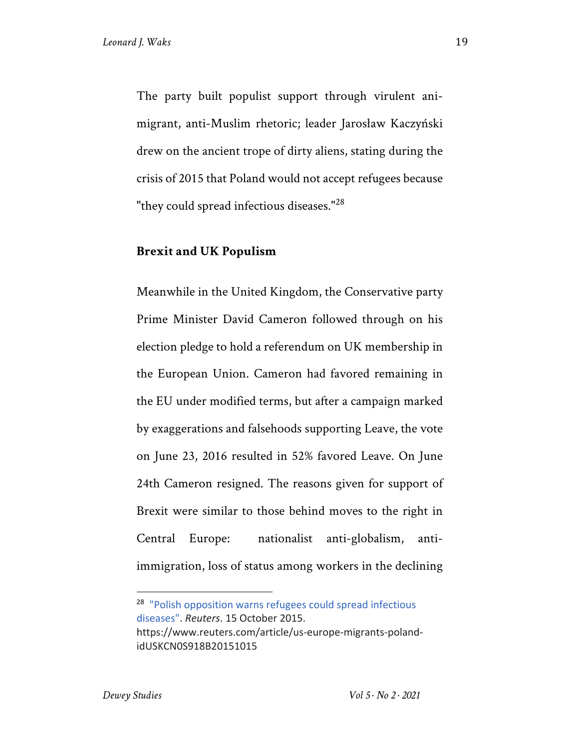The party built populist support through virulent animigrant, anti-Muslim rhetoric; leader Jarosław Kaczyński drew on the ancient trope of dirty aliens, stating during the crisis of 2015 that Poland would not accept refugees because "they could spread infectious diseases."<sup>28</sup>

#### **Brexit and UK Populism**

Meanwhile in the United Kingdom, the Conservative party Prime Minister David Cameron followed through on his election pledge to hold a referendum on UK membership in the European Union. Cameron had favored remaining in the EU under modified terms, but after a campaign marked by exaggerations and falsehoods supporting Leave, the vote on June 23, 2016 resulted in 52% favored Leave. On June 24th Cameron resigned. The reasons given for support of Brexit were similar to those behind moves to the right in Central Europe: nationalist anti-globalism, antiimmigration, loss of status among workers in the declining

<sup>28</sup> "Polish opposition warns refugees could spread infectious diseases". *Reuters*. 15 October 2015. https://www.reuters.com/article/us-europe-migrants-polandidUSKCN0S918B20151015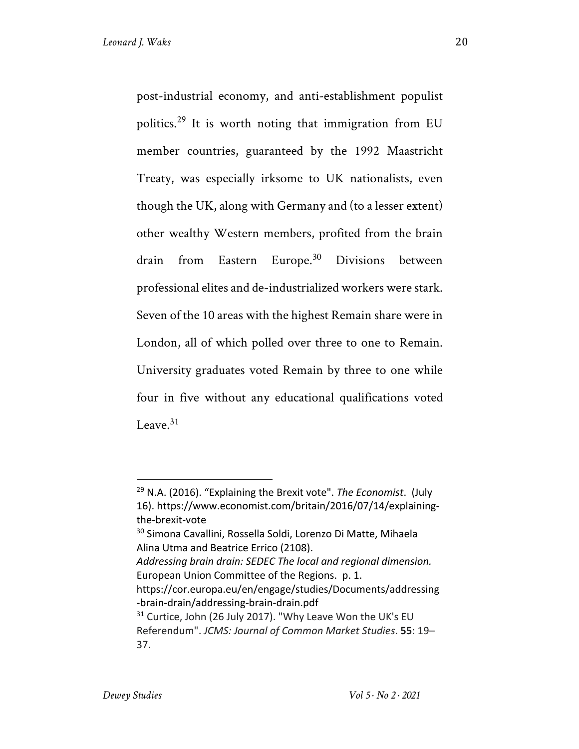post-industrial economy, and anti-establishment populist politics.<sup>29</sup> It is worth noting that immigration from EU member countries, guaranteed by the 1992 Maastricht Treaty, was especially irksome to UK nationalists, even though the UK, along with Germany and (to a lesser extent) other wealthy Western members, profited from the brain drain from Eastern Europe.<sup>30</sup> Divisions between professional elites and de-industrialized workers were stark. Seven of the 10 areas with the highest Remain share were in London, all of which polled over three to one to Remain. University graduates voted Remain by three to one while four in five without any educational qualifications voted Leave $^{31}$ 

<sup>29</sup> N.A. (2016). "Explaining the Brexit vote". *The Economist*. (July 16). https://www.economist.com/britain/2016/07/14/explainingthe-brexit-vote

<sup>30</sup> Simona Cavallini, Rossella Soldi, Lorenzo Di Matte, Mihaela Alina Utma and Beatrice Errico (2108).

*Addressing brain drain: SEDEC The local and regional dimension.*  European Union Committee of the Regions. p. 1.

https://cor.europa.eu/en/engage/studies/Documents/addressing -brain-drain/addressing-brain-drain.pdf

<sup>&</sup>lt;sup>31</sup> Curtice, John (26 July 2017). "Why Leave Won the UK's EU Referendum". *JCMS: Journal of Common Market Studies*. **55**: 19– 37.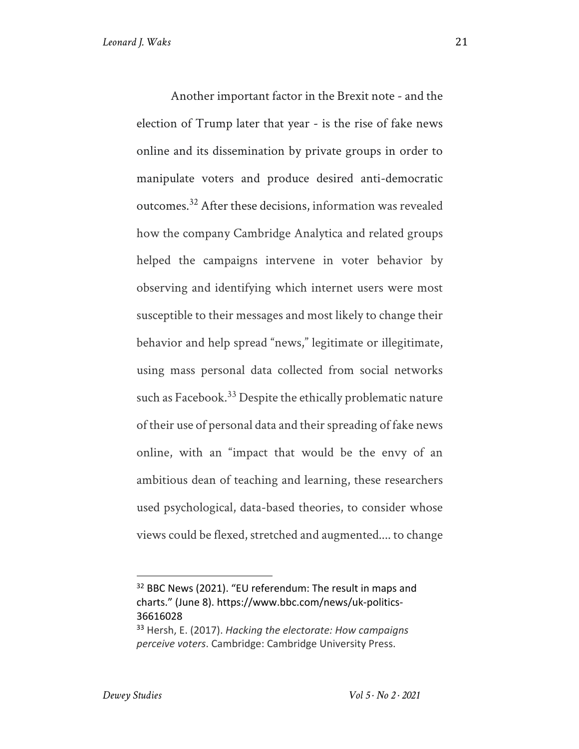Another important factor in the Brexit note - and the election of Trump later that year - is the rise of fake news online and its dissemination by private groups in order to manipulate voters and produce desired anti-democratic outcomes.32 After these decisions, information was revealed how the company Cambridge Analytica and related groups helped the campaigns intervene in voter behavior by observing and identifying which internet users were most susceptible to their messages and most likely to change their behavior and help spread "news," legitimate or illegitimate, using mass personal data collected from social networks such as Facebook.<sup>33</sup> Despite the ethically problematic nature of their use of personal data and their spreading of fake news online, with an "impact that would be the envy of an ambitious dean of teaching and learning, these researchers used psychological, data-based theories, to consider whose views could be flexed, stretched and augmented.... to change

<sup>&</sup>lt;sup>32</sup> BBC News (2021). "EU referendum: The result in maps and charts." (June 8). https://www.bbc.com/news/uk-politics-36616028

<sup>33</sup> Hersh, E. (2017). *Hacking the electorate: How campaigns perceive voters*. Cambridge: Cambridge University Press.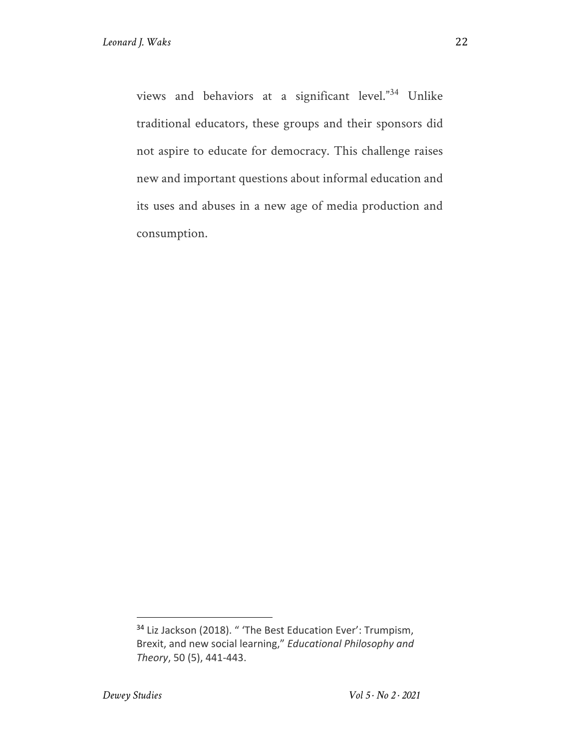views and behaviors at a significant level."<sup>34</sup> Unlike traditional educators, these groups and their sponsors did not aspire to educate for democracy. This challenge raises new and important questions about informal education and its uses and abuses in a new age of media production and consumption.

<sup>34</sup> Liz Jackson (2018). " 'The Best Education Ever': Trumpism, Brexit, and new social learning," *Educational Philosophy and Theory*, 50 (5), 441-443.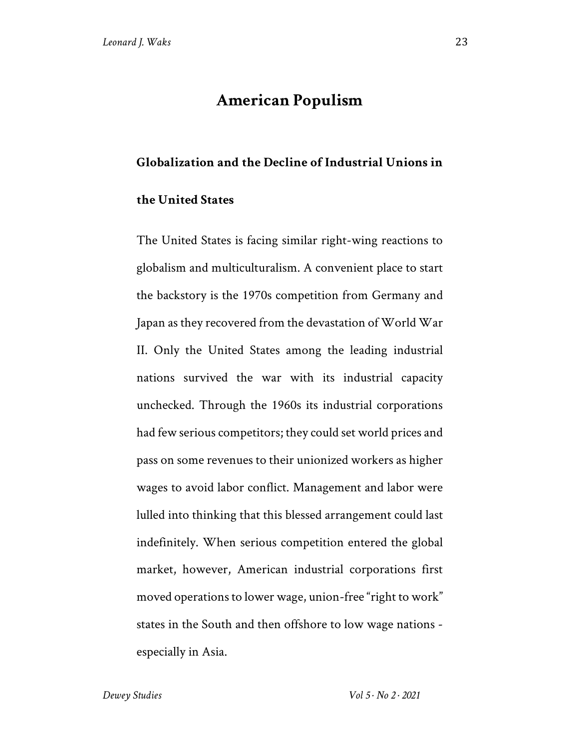#### **American Populism**

#### **Globalization and the Decline of Industrial Unions in**

#### **the United States**

The United States is facing similar right-wing reactions to globalism and multiculturalism. A convenient place to start the backstory is the 1970s competition from Germany and Japan as they recovered from the devastation of World War II. Only the United States among the leading industrial nations survived the war with its industrial capacity unchecked. Through the 1960s its industrial corporations had few serious competitors; they could set world prices and pass on some revenues to their unionized workers as higher wages to avoid labor conflict. Management and labor were lulled into thinking that this blessed arrangement could last indefinitely. When serious competition entered the global market, however, American industrial corporations first moved operations to lower wage, union-free "right to work" states in the South and then offshore to low wage nations especially in Asia.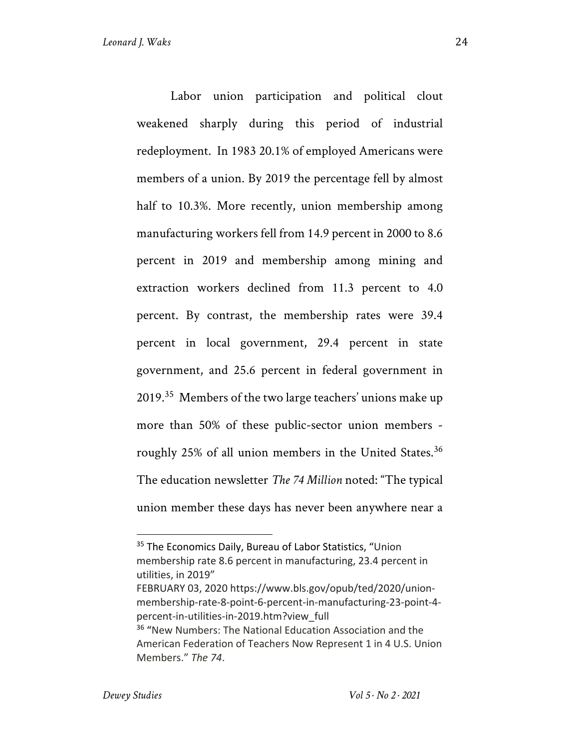Labor union participation and political clout weakened sharply during this period of industrial redeployment. In 1983 20.1% of employed Americans were members of a union. By 2019 the percentage fell by almost half to 10.3%. More recently, union membership among manufacturing workers fell from 14.9 percent in 2000 to 8.6 percent in 2019 and membership among mining and extraction workers declined from 11.3 percent to 4.0 percent. By contrast, the membership rates were 39.4 percent in local government, 29.4 percent in state government, and 25.6 percent in federal government in 2019.<sup>35</sup> Members of the two large teachers' unions make up more than 50% of these public-sector union members roughly 25% of all union members in the United States.<sup>36</sup> The education newsletter *The 74 Million* noted: "The typical union member these days has never been anywhere near a

<sup>&</sup>lt;sup>35</sup> The Economics Daily, Bureau of Labor Statistics, "Union membership rate 8.6 percent in manufacturing, 23.4 percent in utilities, in 2019"

FEBRUARY 03, 2020 https://www.bls.gov/opub/ted/2020/unionmembership-rate-8-point-6-percent-in-manufacturing-23-point-4 percent-in-utilities-in-2019.htm?view\_full

<sup>36</sup> "New Numbers: The National Education Association and the American Federation of Teachers Now Represent 1 in 4 U.S. Union Members." *The 74*.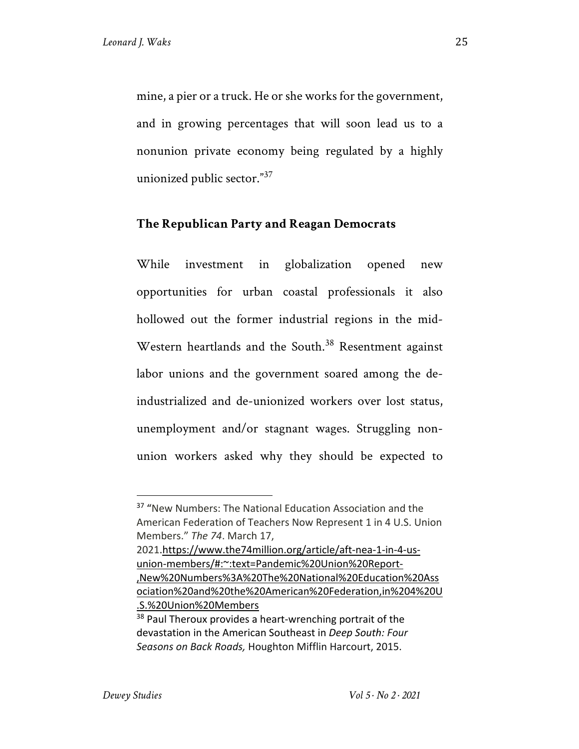mine, a pier or a truck. He or she works for the government, and in growing percentages that will soon lead us to a nonunion private economy being regulated by a highly unionized public sector."<sup>37</sup>

#### **The Republican Party and Reagan Democrats**

While investment in globalization opened new opportunities for urban coastal professionals it also hollowed out the former industrial regions in the mid-Western heartlands and the South.<sup>38</sup> Resentment against labor unions and the government soared among the deindustrialized and de-unionized workers over lost status, unemployment and/or stagnant wages. Struggling nonunion workers asked why they should be expected to

<sup>&</sup>lt;sup>37</sup> "New Numbers: The National Education Association and the American Federation of Teachers Now Represent 1 in 4 U.S. Union Members." *The 74*. March 17,

<sup>2021.</sup>https://www.the74million.org/article/aft-nea-1-in-4-usunion-members/#:~:text=Pandemic%20Union%20Report- ,New%20Numbers%3A%20The%20National%20Education%20Ass ociation%20and%20the%20American%20Federation,in%204%20U .S.%20Union%20Members

<sup>&</sup>lt;sup>38</sup> Paul Theroux provides a heart-wrenching portrait of the devastation in the American Southeast in *Deep South: Four Seasons on Back Roads,* Houghton Mifflin Harcourt, 2015.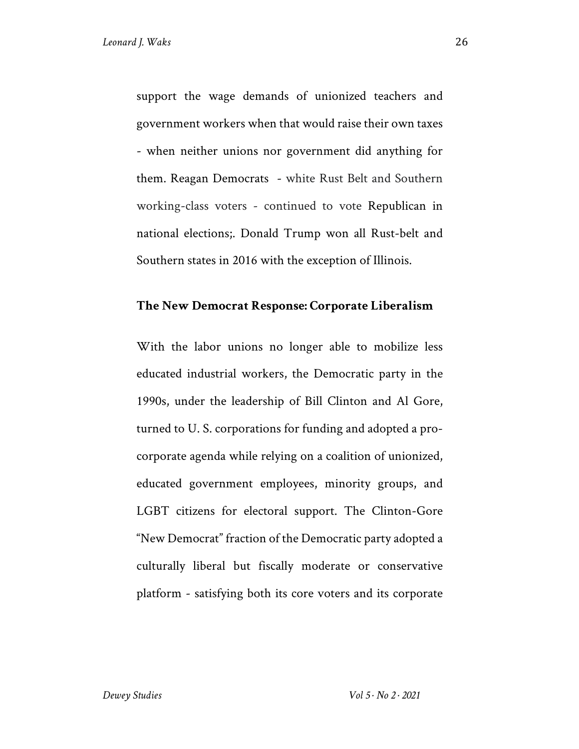support the wage demands of unionized teachers and government workers when that would raise their own taxes - when neither unions nor government did anything for them. Reagan Democrats - white Rust Belt and Southern working-class voters - continued to vote Republican in national elections;. Donald Trump won all Rust-belt and Southern states in 2016 with the exception of Illinois.

#### **The New Democrat Response: Corporate Liberalism**

With the labor unions no longer able to mobilize less educated industrial workers, the Democratic party in the 1990s, under the leadership of Bill Clinton and Al Gore, turned to U. S. corporations for funding and adopted a procorporate agenda while relying on a coalition of unionized, educated government employees, minority groups, and LGBT citizens for electoral support. The Clinton-Gore "New Democrat" fraction of the Democratic party adopted a culturally liberal but fiscally moderate or conservative platform - satisfying both its core voters and its corporate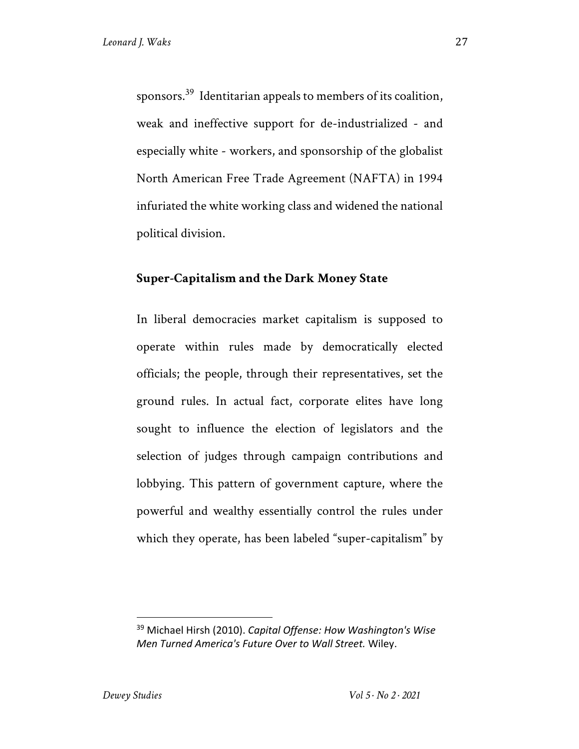sponsors.39 Identitarian appeals to members of its coalition, weak and ineffective support for de-industrialized - and especially white - workers, and sponsorship of the globalist North American Free Trade Agreement (NAFTA) in 1994 infuriated the white working class and widened the national political division.

#### **Super-Capitalism and the Dark Money State**

In liberal democracies market capitalism is supposed to operate within rules made by democratically elected officials; the people, through their representatives, set the ground rules. In actual fact, corporate elites have long sought to influence the election of legislators and the selection of judges through campaign contributions and lobbying. This pattern of government capture, where the powerful and wealthy essentially control the rules under which they operate, has been labeled "super-capitalism" by

<sup>39</sup> Michael Hirsh (2010). *Capital Offense: How Washington's Wise Men Turned America's Future Over to Wall Street.* Wiley.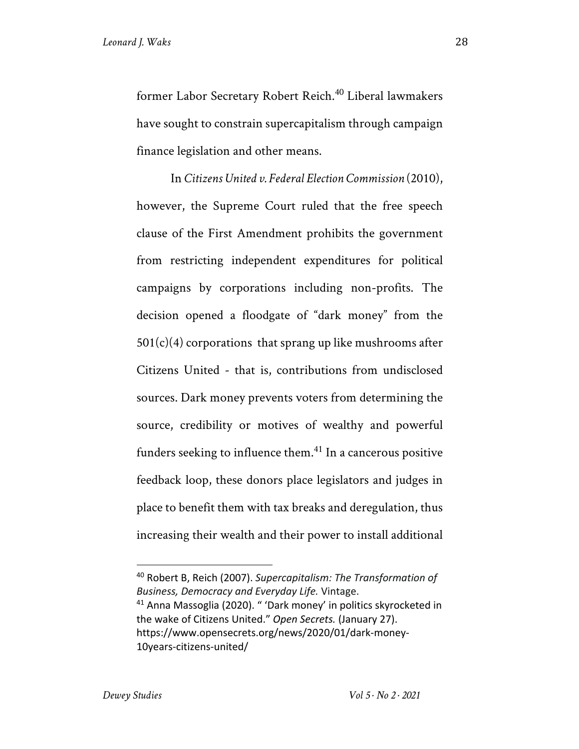former Labor Secretary Robert Reich.<sup>40</sup> Liberal lawmakers have sought to constrain supercapitalism through campaign finance legislation and other means.

In *Citizens United v. Federal Election Commission* (2010), however, the Supreme Court ruled that the free speech clause of the First Amendment prohibits the government from restricting independent expenditures for political campaigns by corporations including non-profits. The decision opened a floodgate of "dark money" from the  $501(c)(4)$  corporations that sprang up like mushrooms after Citizens United - that is, contributions from undisclosed sources. Dark money prevents voters from determining the source, credibility or motives of wealthy and powerful funders seeking to influence them.<sup>41</sup> In a cancerous positive feedback loop, these donors place legislators and judges in place to benefit them with tax breaks and deregulation, thus increasing their wealth and their power to install additional

<sup>40</sup> Robert B, Reich (2007). *Supercapitalism: The Transformation of Business, Democracy and Everyday Life.* Vintage.

<sup>41</sup> Anna Massoglia (2020). " 'Dark money' in politics skyrocketed in the wake of Citizens United." *Open Secrets.* (January 27). https://www.opensecrets.org/news/2020/01/dark-money-10years-citizens-united/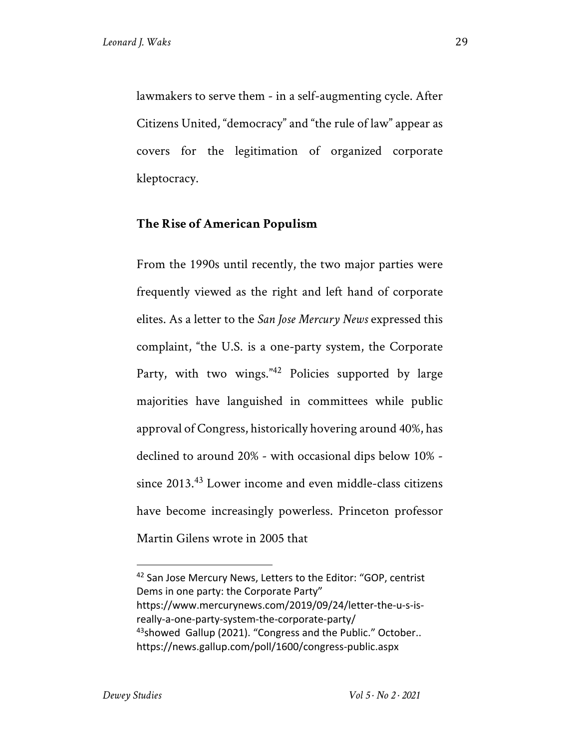lawmakers to serve them - in a self-augmenting cycle. After Citizens United, "democracy" and "the rule of law" appear as covers for the legitimation of organized corporate kleptocracy.

#### **The Rise of American Populism**

From the 1990s until recently, the two major parties were frequently viewed as the right and left hand of corporate elites. As a letter to the *San Jose Mercury News* expressed this complaint, "the U.S. is a one-party system, the Corporate Party, with two wings."<sup>42</sup> Policies supported by large majorities have languished in committees while public approval of Congress, historically hovering around 40%, has declined to around 20% - with occasional dips below 10% since 2013.<sup>43</sup> Lower income and even middle-class citizens have become increasingly powerless. Princeton professor Martin Gilens wrote in 2005 that

<sup>42</sup> San Jose Mercury News, Letters to the Editor: "GOP, centrist Dems in one party: the Corporate Party" https://www.mercurynews.com/2019/09/24/letter-the-u-s-isreally-a-one-party-system-the-corporate-party/  $43$ showed Gallup (2021). "Congress and the Public." October.. https://news.gallup.com/poll/1600/congress-public.aspx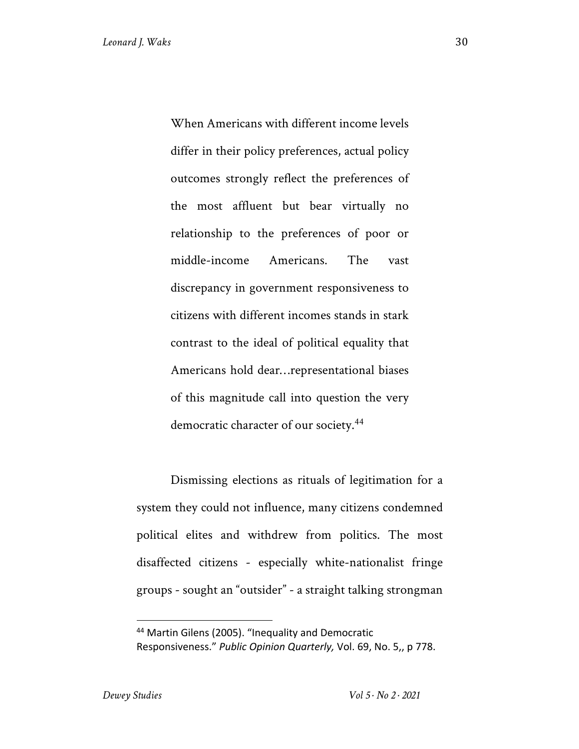When Americans with different income levels differ in their policy preferences, actual policy outcomes strongly reflect the preferences of the most affluent but bear virtually no relationship to the preferences of poor or middle-income Americans. The vast discrepancy in government responsiveness to citizens with different incomes stands in stark contrast to the ideal of political equality that Americans hold dear…representational biases of this magnitude call into question the very democratic character of our society. 44

Dismissing elections as rituals of legitimation for a system they could not influence, many citizens condemned political elites and withdrew from politics. The most disaffected citizens - especially white-nationalist fringe groups - sought an "outsider" - a straight talking strongman

<sup>44</sup> Martin Gilens (2005). "Inequality and Democratic Responsiveness." *Public Opinion Quarterly,* Vol. 69, No. 5,, p 778.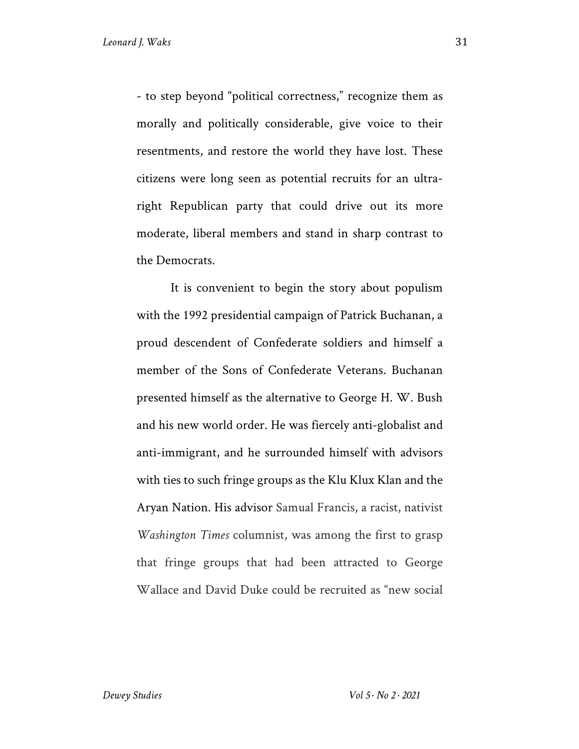- to step beyond "political correctness," recognize them as morally and politically considerable, give voice to their resentments, and restore the world they have lost. These citizens were long seen as potential recruits for an ultraright Republican party that could drive out its more moderate, liberal members and stand in sharp contrast to the Democrats.

It is convenient to begin the story about populism with the 1992 presidential campaign of Patrick Buchanan, a proud descendent of Confederate soldiers and himself a member of the Sons of Confederate Veterans. Buchanan presented himself as the alternative to George H. W. Bush and his new world order. He was fiercely anti-globalist and anti-immigrant, and he surrounded himself with advisors with ties to such fringe groups as the Klu Klux Klan and the Aryan Nation. His advisor Samual Francis, a racist, nativist *Washington Times* columnist, was among the first to grasp that fringe groups that had been attracted to George Wallace and David Duke could be recruited as "new social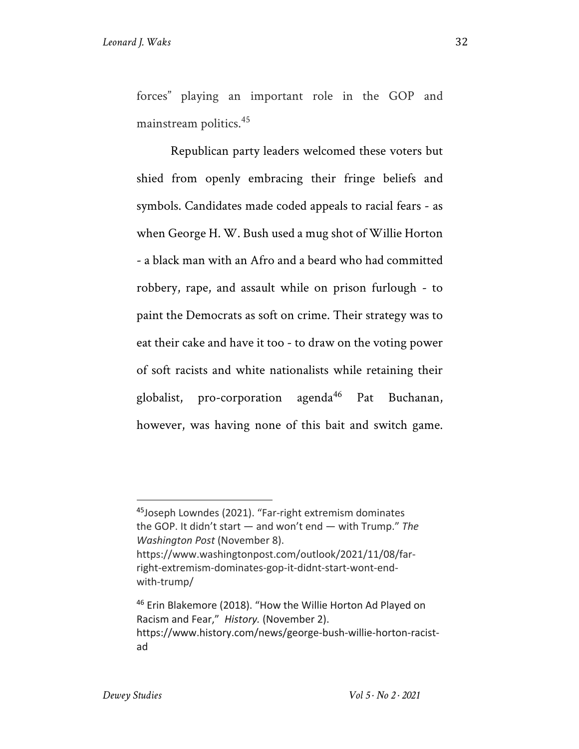forces" playing an important role in the GOP and mainstream politics.<sup>45</sup>

Republican party leaders welcomed these voters but shied from openly embracing their fringe beliefs and symbols. Candidates made coded appeals to racial fears - as when George H. W. Bush used a mug shot of Willie Horton - a black man with an Afro and a beard who had committed robbery, rape, and assault while on prison furlough - to paint the Democrats as soft on crime. Their strategy was to eat their cake and have it too - to draw on the voting power of soft racists and white nationalists while retaining their globalist, pro-corporation agenda<sup>46</sup> Pat Buchanan, however, was having none of this bait and switch game.

<sup>45</sup>Joseph Lowndes (2021). "Far-right extremism dominates the GOP. It didn't start — and won't end — with Trump." *The Washington Post* (November 8). https://www.washingtonpost.com/outlook/2021/11/08/farright-extremism-dominates-gop-it-didnt-start-wont-end-

with-trump/

<sup>&</sup>lt;sup>46</sup> Erin Blakemore (2018). "How the Willie Horton Ad Played on Racism and Fear," *History.* (November 2). https://www.history.com/news/george-bush-willie-horton-racistad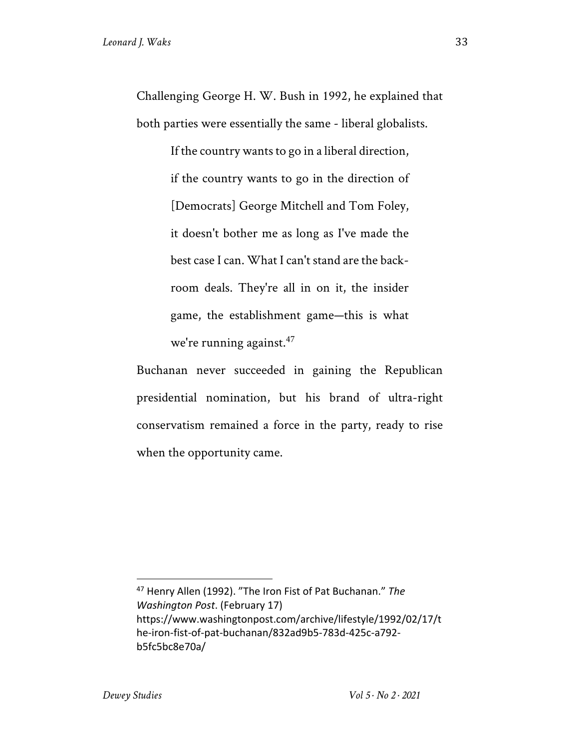Challenging George H. W. Bush in 1992, he explained that both parties were essentially the same - liberal globalists.

> If the country wants to go in a liberal direction, if the country wants to go in the direction of [Democrats] George Mitchell and Tom Foley, it doesn't bother me as long as I've made the best case I can. What I can't stand are the backroom deals. They're all in on it, the insider game, the establishment game—this is what we're running against. $47$

Buchanan never succeeded in gaining the Republican presidential nomination, but his brand of ultra-right conservatism remained a force in the party, ready to rise when the opportunity came.

<sup>47</sup> Henry Allen (1992). "The Iron Fist of Pat Buchanan." *The Washington Post*. (February 17) https://www.washingtonpost.com/archive/lifestyle/1992/02/17/t he-iron-fist-of-pat-buchanan/832ad9b5-783d-425c-a792 b5fc5bc8e70a/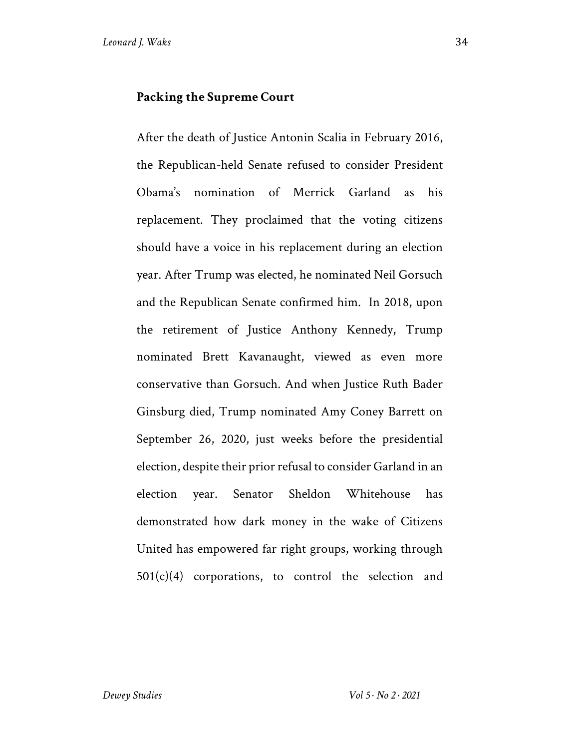#### **Packing the Supreme Court**

After the death of Justice Antonin Scalia in February 2016, the Republican-held Senate refused to consider President Obama's nomination of Merrick Garland as his replacement. They proclaimed that the voting citizens should have a voice in his replacement during an election year. After Trump was elected, he nominated Neil Gorsuch and the Republican Senate confirmed him. In 2018, upon the retirement of Justice Anthony Kennedy, Trump nominated Brett Kavanaught, viewed as even more conservative than Gorsuch. And when Justice Ruth Bader Ginsburg died, Trump nominated Amy Coney Barrett on September 26, 2020, just weeks before the presidential election, despite their prior refusal to consider Garland in an election year. Senator Sheldon Whitehouse has demonstrated how dark money in the wake of Citizens United has empowered far right groups, working through  $501(c)(4)$  corporations, to control the selection and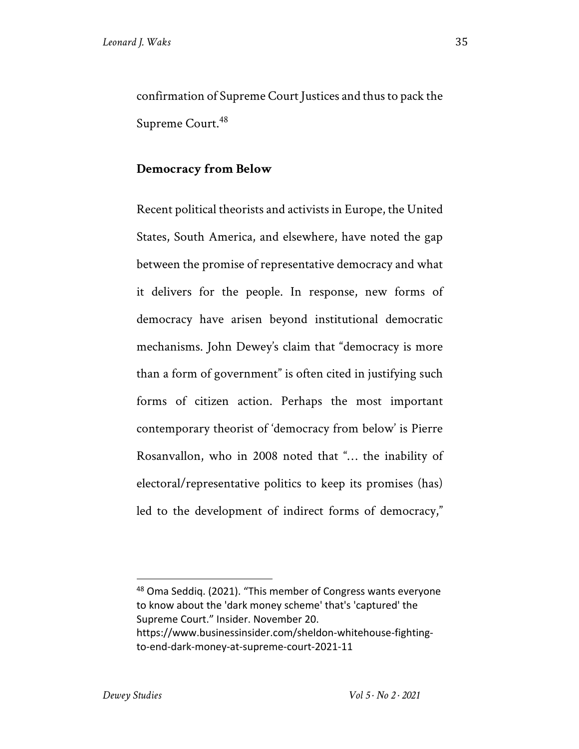confirmation of Supreme Court Justices and thus to pack the Supreme Court.<sup>48</sup>

#### **Democracy from Below**

Recent political theorists and activists in Europe, the United States, South America, and elsewhere, have noted the gap between the promise of representative democracy and what it delivers for the people. In response, new forms of democracy have arisen beyond institutional democratic mechanisms. John Dewey's claim that "democracy is more than a form of government" is often cited in justifying such forms of citizen action. Perhaps the most important contemporary theorist of 'democracy from below' is Pierre Rosanvallon, who in 2008 noted that "… the inability of electoral/representative politics to keep its promises (has) led to the development of indirect forms of democracy,"

<sup>48</sup> Oma Seddiq. (2021). "This member of Congress wants everyone to know about the 'dark money scheme' that's 'captured' the Supreme Court." Insider. November 20. https://www.businessinsider.com/sheldon-whitehouse-fightingto-end-dark-money-at-supreme-court-2021-11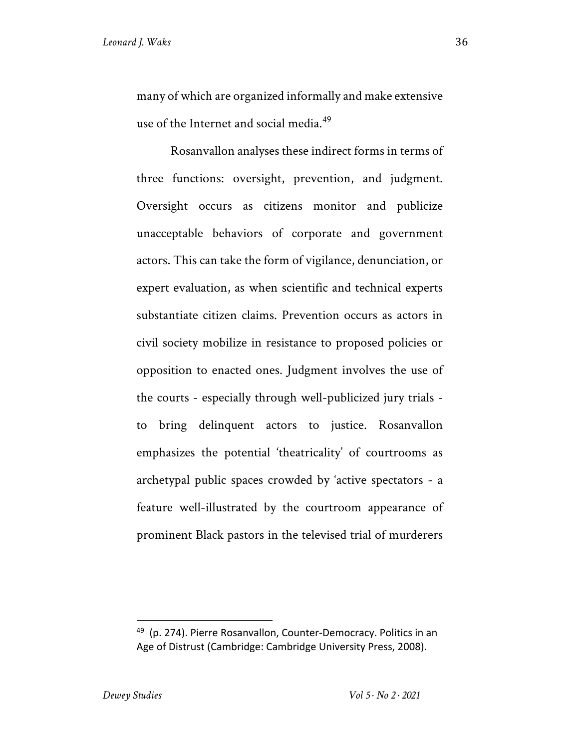many of which are organized informally and make extensive use of the Internet and social media.<sup>49</sup>

Rosanvallon analyses these indirect forms in terms of three functions: oversight, prevention, and judgment. Oversight occurs as citizens monitor and publicize unacceptable behaviors of corporate and government actors. This can take the form of vigilance, denunciation, or expert evaluation, as when scientific and technical experts substantiate citizen claims. Prevention occurs as actors in civil society mobilize in resistance to proposed policies or opposition to enacted ones. Judgment involves the use of the courts - especially through well-publicized jury trials to bring delinquent actors to justice. Rosanvallon emphasizes the potential 'theatricality' of courtrooms as archetypal public spaces crowded by 'active spectators - a feature well-illustrated by the courtroom appearance of prominent Black pastors in the televised trial of murderers

 $49$  (p. 274). Pierre Rosanvallon, Counter-Democracy. Politics in an Age of Distrust (Cambridge: Cambridge University Press, 2008).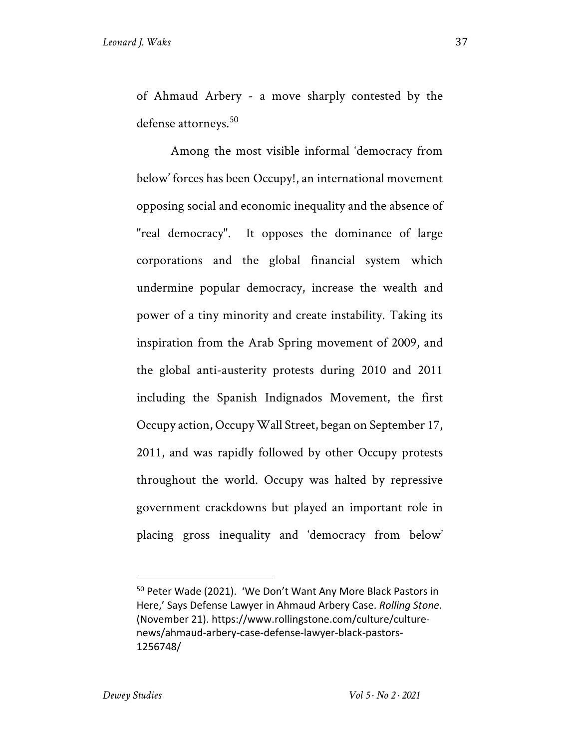of Ahmaud Arbery - a move sharply contested by the defense attorneys.<sup>50</sup>

Among the most visible informal 'democracy from below' forces has been Occupy!, an international movement opposing social and economic inequality and the absence of "real democracy". It opposes the dominance of large corporations and the global financial system which undermine popular democracy, increase the wealth and power of a tiny minority and create instability. Taking its inspiration from the Arab Spring movement of 2009, and the global anti-austerity protests during 2010 and 2011 including the Spanish Indignados Movement, the first Occupy action, Occupy Wall Street, began on September 17, 2011, and was rapidly followed by other Occupy protests throughout the world. Occupy was halted by repressive government crackdowns but played an important role in placing gross inequality and 'democracy from below'

<sup>50</sup> Peter Wade (2021). 'We Don't Want Any More Black Pastors in Here,' Says Defense Lawyer in Ahmaud Arbery Case. *Rolling Stone*. (November 21). https://www.rollingstone.com/culture/culturenews/ahmaud-arbery-case-defense-lawyer-black-pastors-1256748/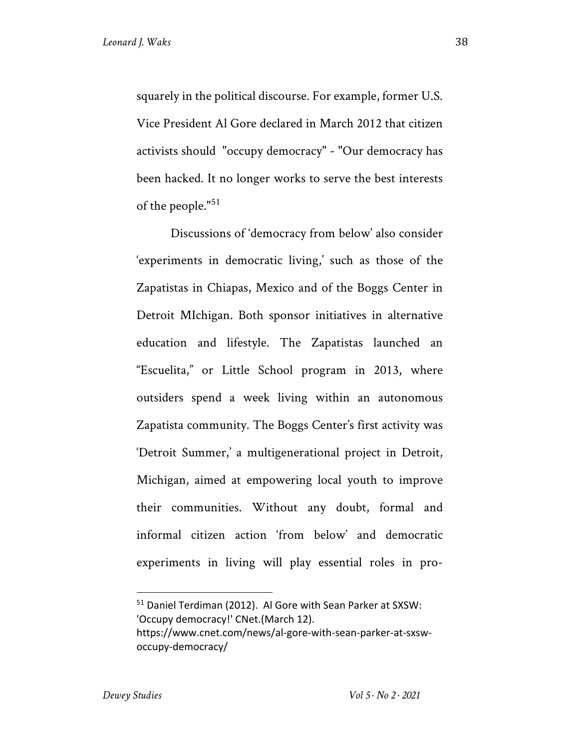squarely in the political discourse. For example, former U.S. Vice President Al Gore declared in March 2012 that citizen activists should "occupy democracy" - "Our democracy has been hacked. It no longer works to serve the best interests of the people."<sup>51</sup>

Discussions of 'democracy from below' also consider 'experiments in democratic living,' such as those of the Zapatistas in Chiapas, Mexico and of the Boggs Center in Detroit MIchigan. Both sponsor initiatives in alternative education and lifestyle. The Zapatistas launched an "Escuelita," or Little School program in 2013, where outsiders spend a week living within an autonomous Zapatista community. The Boggs Center's first activity was 'Detroit Summer,' a multigenerational project in Detroit, Michigan, aimed at empowering local youth to improve their communities. Without any doubt, formal and informal citizen action 'from below' and democratic experiments in living will play essential roles in pro-

<sup>51</sup> Daniel Terdiman (2012). Al Gore with Sean Parker at SXSW: 'Occupy democracy!' CNet.(March 12). https://www.cnet.com/news/al-gore-with-sean-parker-at-sxsw-

occupy-democracy/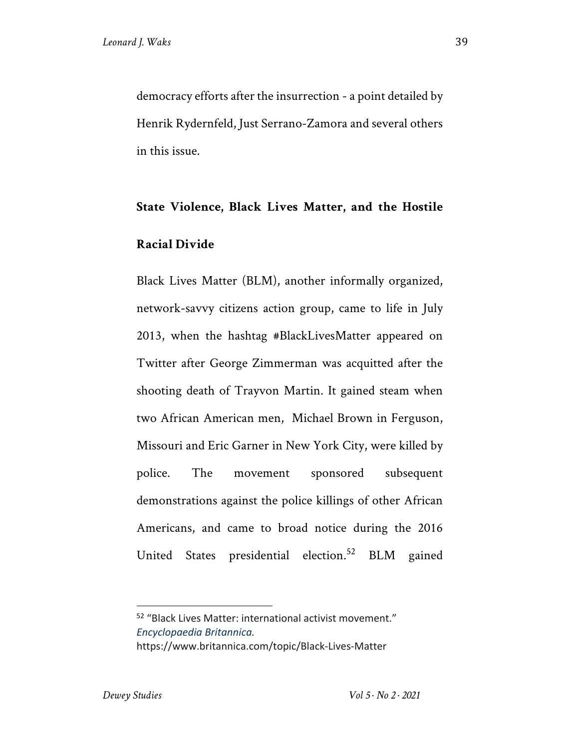democracy efforts after the insurrection - a point detailed by Henrik Rydernfeld, Just Serrano-Zamora and several others in this issue.

## **State Violence, Black Lives Matter, and the Hostile Racial Divide**

Black Lives Matter (BLM), another informally organized, network-savvy citizens action group, came to life in July 2013, when the hashtag #BlackLivesMatter appeared on Twitter after George Zimmerman was acquitted after the shooting death of Trayvon Martin. It gained steam when two African American men, Michael Brown in Ferguson, Missouri and Eric Garner in New York City, were killed by police. The movement sponsored subsequent demonstrations against the police killings of other African Americans, and came to broad notice during the 2016 United States presidential election.<sup>52</sup> BLM gained

<sup>52</sup> "Black Lives Matter: international activist movement." *Encyclopaedia Britannica.*  https://www.britannica.com/topic/Black-Lives-Matter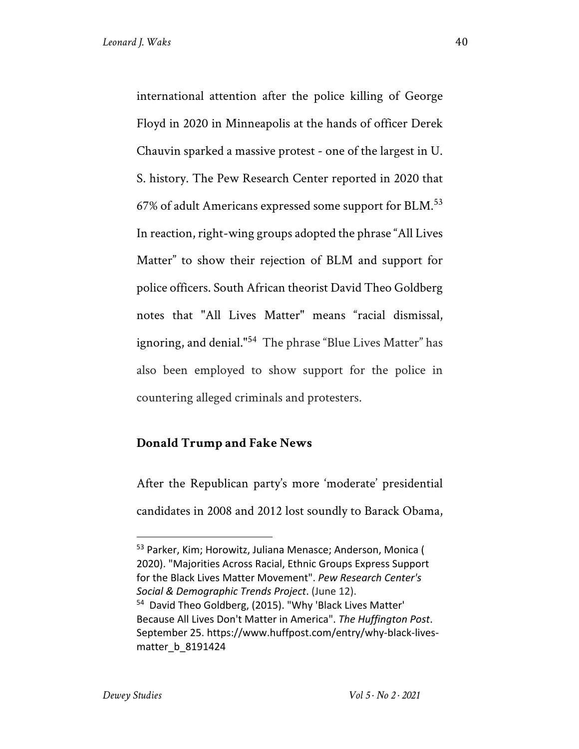international attention after the police killing of George Floyd in 2020 in Minneapolis at the hands of officer Derek Chauvin sparked a massive protest - one of the largest in U. S. history. The Pew Research Center reported in 2020 that 67% of adult Americans expressed some support for BLM.<sup>53</sup> In reaction, right-wing groups adopted the phrase "All Lives Matter" to show their rejection of BLM and support for police officers. South African theorist David Theo Goldberg notes that "All Lives Matter" means "racial dismissal, ignoring, and denial."<sup>54</sup> The phrase "Blue Lives Matter" has also been employed to show support for the police in countering alleged criminals and protesters.

#### **Donald Trump and Fake News**

After the Republican party's more 'moderate' presidential candidates in 2008 and 2012 lost soundly to Barack Obama,

<sup>53</sup> Parker, Kim; Horowitz, Juliana Menasce; Anderson, Monica ( 2020). "Majorities Across Racial, Ethnic Groups Express Support for the Black Lives Matter Movement". *Pew Research Center's Social & Demographic Trends Project*. (June 12). <sup>54</sup> David Theo Goldberg, (2015). "Why 'Black Lives Matter'

Because All Lives Don't Matter in America". *The Huffington Post*. September 25. https://www.huffpost.com/entry/why-black-livesmatter\_b\_8191424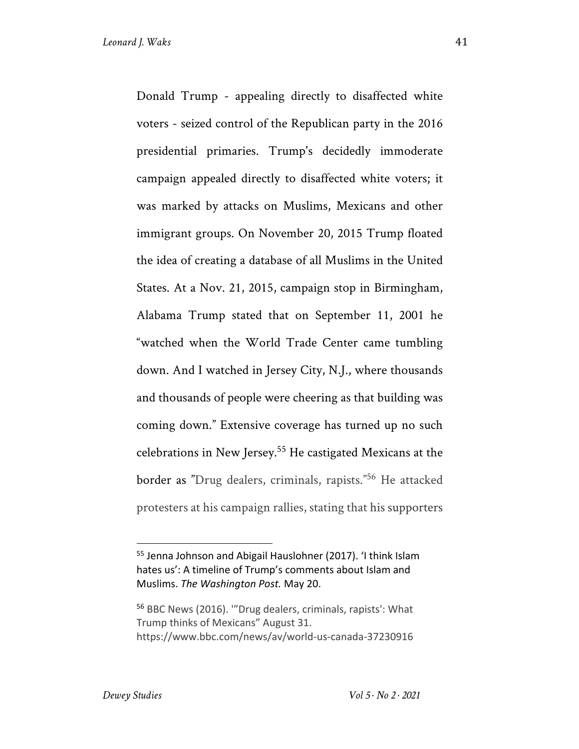Donald Trump - appealing directly to disaffected white voters - seized control of the Republican party in the 2016 presidential primaries. Trump's decidedly immoderate campaign appealed directly to disaffected white voters; it was marked by attacks on Muslims, Mexicans and other immigrant groups. On November 20, 2015 Trump floated the idea of creating a database of all Muslims in the United States. At a Nov. 21, 2015, campaign stop in Birmingham, Alabama Trump stated that on September 11, 2001 he "watched when the World Trade Center came tumbling down. And I watched in Jersey City, N.J., where thousands and thousands of people were cheering as that building was coming down." Extensive coverage has turned up no such celebrations in New Jersey.55 He castigated Mexicans at the border as "Drug dealers, criminals, rapists."56 He attacked protesters at his campaign rallies, stating that his supporters

<sup>55</sup> Jenna Johnson and Abigail Hauslohner (2017). 'I think Islam hates us': A timeline of Trump's comments about Islam and Muslims. *The Washington Post.* May 20.

<sup>56</sup> BBC News (2016). '"Drug dealers, criminals, rapists': What Trump thinks of Mexicans" August 31. https://www.bbc.com/news/av/world-us-canada-37230916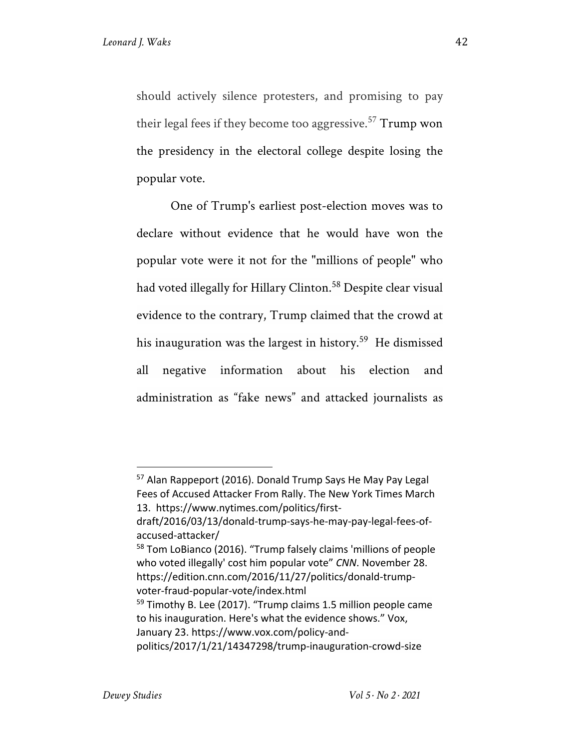should actively silence protesters, and promising to pay their legal fees if they become too aggressive.<sup>57</sup> Trump won the presidency in the electoral college despite losing the popular vote.

One of Trump's earliest post-election moves was to declare without evidence that he would have won the popular vote were it not for the "millions of people" who had voted illegally for Hillary Clinton.<sup>58</sup> Despite clear visual evidence to the contrary, Trump claimed that the crowd at his inauguration was the largest in history.<sup>59</sup> He dismissed all negative information about his election and administration as "fake news" and attacked journalists as

politics/2017/1/21/14347298/trump-inauguration-crowd-size

<sup>57</sup> Alan Rappeport (2016). Donald Trump Says He May Pay Legal Fees of Accused Attacker From Rally. The New York Times March 13. https://www.nytimes.com/politics/first-

draft/2016/03/13/donald-trump-says-he-may-pay-legal-fees-ofaccused-attacker/

<sup>58</sup> Tom LoBianco (2016). "Trump falsely claims 'millions of people who voted illegally' cost him popular vote" *CNN*. November 28. https://edition.cnn.com/2016/11/27/politics/donald-trumpvoter-fraud-popular-vote/index.html

<sup>&</sup>lt;sup>59</sup> Timothy B. Lee (2017). "Trump claims 1.5 million people came to his inauguration. Here's what the evidence shows." Vox, January 23. https://www.vox.com/policy-and-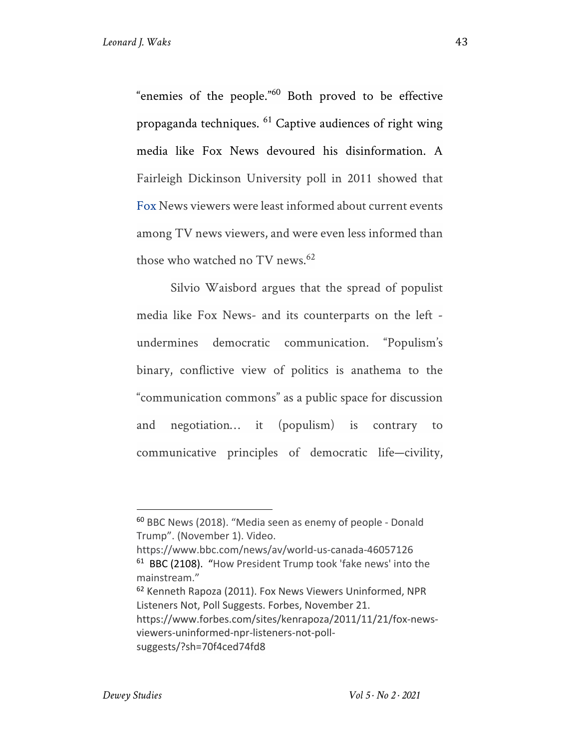"enemies of the people."<sup>60</sup> Both proved to be effective propaganda techniques. <sup>61</sup> Captive audiences of right wing media like Fox News devoured his disinformation. A Fairleigh Dickinson University poll in 2011 showed that Fox News viewers were least informed about current events among TV news viewers, and were even less informed than those who watched no TV news.<sup>62</sup>

Silvio Waisbord argues that the spread of populist media like Fox News- and its counterparts on the left undermines democratic communication. "Populism's binary, conflictive view of politics is anathema to the "communication commons" as a public space for discussion and negotiation… it (populism) is contrary to communicative principles of democratic life—civility,

<sup>62</sup> Kenneth Rapoza (2011). Fox News Viewers Uninformed, NPR Listeners Not, Poll Suggests. Forbes, November 21. https://www.forbes.com/sites/kenrapoza/2011/11/21/fox-news-

viewers-uninformed-npr-listeners-not-poll-

<sup>60</sup> BBC News (2018). "Media seen as enemy of people - Donald Trump". (November 1). Video.

https://www.bbc.com/news/av/world-us-canada-46057126 61 BBC (2108). "How President Trump took 'fake news' into the mainstream."

suggests/?sh=70f4ced74fd8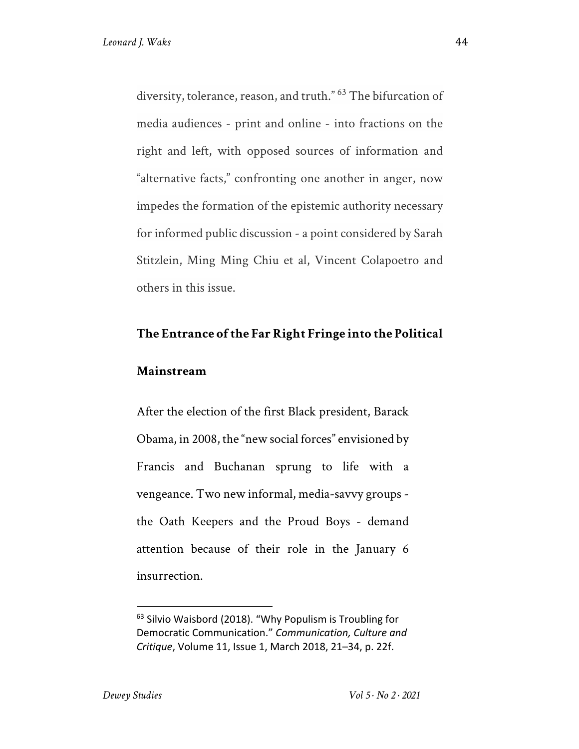diversity, tolerance, reason, and truth." 63 The bifurcation of media audiences - print and online - into fractions on the right and left, with opposed sources of information and "alternative facts," confronting one another in anger, now impedes the formation of the epistemic authority necessary for informed public discussion - a point considered by Sarah Stitzlein, Ming Ming Chiu et al, Vincent Colapoetro and others in this issue.

#### **The Entrance of the Far Right Fringe into the Political**

#### **Mainstream**

After the election of the first Black president, Barack Obama, in 2008, the "new social forces" envisioned by Francis and Buchanan sprung to life with a vengeance. Two new informal, media-savvy groups the Oath Keepers and the Proud Boys - demand attention because of their role in the January 6 insurrection.

<sup>&</sup>lt;sup>63</sup> Silvio Waisbord (2018). "Why Populism is Troubling for Democratic Communication." *Communication, Culture and Critique*, Volume 11, Issue 1, March 2018, 21–34, p. 22f.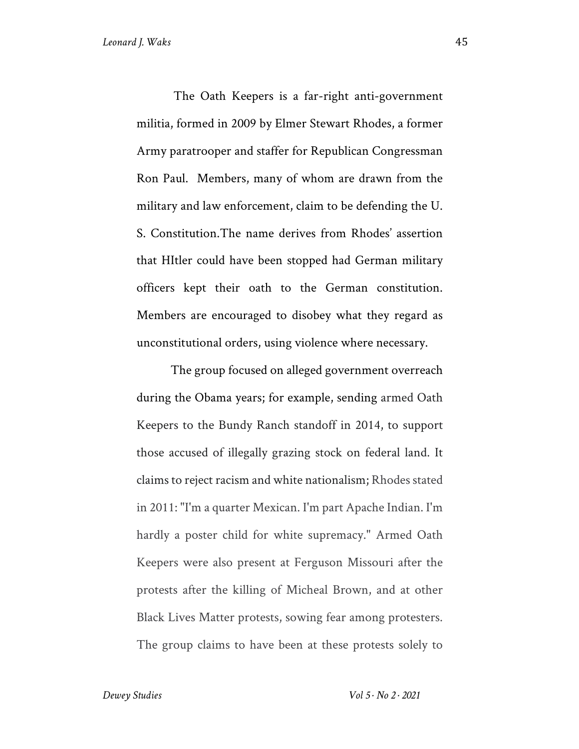The Oath Keepers is a far-right anti-government militia, formed in 2009 by Elmer Stewart Rhodes, a former Army paratrooper and staffer for Republican Congressman Ron Paul. Members, many of whom are drawn from the military and law enforcement, claim to be defending the U. S. Constitution.The name derives from Rhodes' assertion that HItler could have been stopped had German military officers kept their oath to the German constitution. Members are encouraged to disobey what they regard as unconstitutional orders, using violence where necessary.

The group focused on alleged government overreach during the Obama years; for example, sending armed Oath Keepers to the Bundy Ranch standoff in 2014, to support those accused of illegally grazing stock on federal land. It claims to reject racism and white nationalism; Rhodes stated in 2011: "I'm a quarter Mexican. I'm part Apache Indian. I'm hardly a poster child for white supremacy." Armed Oath Keepers were also present at Ferguson Missouri after the protests after the killing of Micheal Brown, and at other Black Lives Matter protests, sowing fear among protesters. The group claims to have been at these protests solely to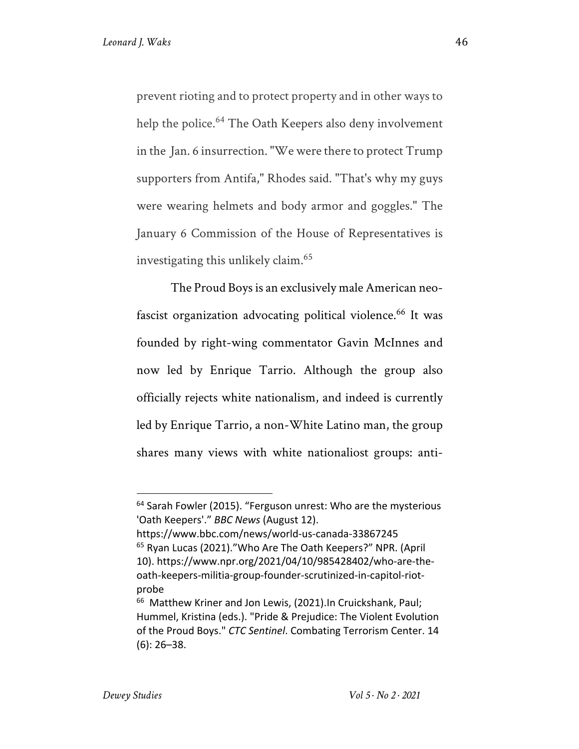prevent rioting and to protect property and in other ways to help the police.<sup>64</sup> The Oath Keepers also deny involvement in the Jan. 6 insurrection. "We were there to protect Trump supporters from Antifa," Rhodes said. "That's why my guys were wearing helmets and body armor and goggles." The January 6 Commission of the House of Representatives is investigating this unlikely claim.65

The Proud Boys is an exclusively male American neofascist organization advocating political violence.<sup>66</sup> It was founded by right-wing commentator Gavin McInnes and now led by Enrique Tarrio. Although the group also officially rejects white nationalism, and indeed is currently led by Enrique Tarrio, a non-White Latino man, the group shares many views with white nationaliost groups: anti-

<sup>&</sup>lt;sup>64</sup> Sarah Fowler (2015). "Ferguson unrest: Who are the mysterious 'Oath Keepers'." *BBC News* (August 12).

https://www.bbc.com/news/world-us-canada-33867245 <sup>65</sup> Ryan Lucas (2021)."Who Are The Oath Keepers?" NPR. (April 10). https://www.npr.org/2021/04/10/985428402/who-are-theoath-keepers-militia-group-founder-scrutinized-in-capitol-riotprobe

<sup>&</sup>lt;sup>66</sup> Matthew Kriner and Jon Lewis, (2021). In Cruickshank, Paul; Hummel, Kristina (eds.). "Pride & Prejudice: The Violent Evolution of the Proud Boys." *CTC Sentinel*. Combating Terrorism Center. 14 (6): 26–38.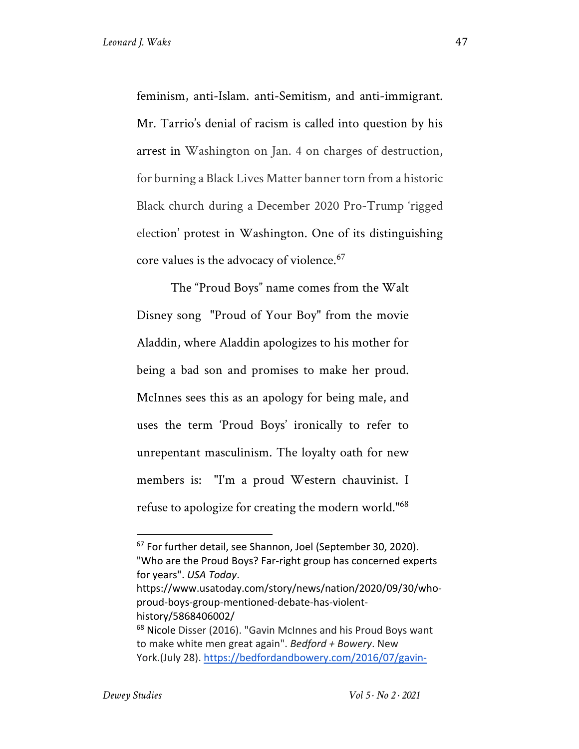feminism, anti-Islam. anti-Semitism, and anti-immigrant. Mr. Tarrio's denial of racism is called into question by his arrest in Washington on Jan. 4 on charges of destruction, for burning a Black Lives Matter banner torn from a historic Black church during a December 2020 Pro-Trump 'rigged election' protest in Washington. One of its distinguishing core values is the advocacy of violence.<sup>67</sup>

The "Proud Boys" name comes from the Walt Disney song "Proud of Your Boy" from the movie Aladdin, where Aladdin apologizes to his mother for being a bad son and promises to make her proud. McInnes sees this as an apology for being male, and uses the term 'Proud Boys' ironically to refer to unrepentant masculinism. The loyalty oath for new members is: "I'm a proud Western chauvinist. I refuse to apologize for creating the modern world." 68

<sup>67</sup> For further detail, see Shannon, Joel (September 30, 2020). "Who are the Proud Boys? Far-right group has concerned experts for years". *USA Today*. https://www.usatoday.com/story/news/nation/2020/09/30/whoproud-boys-group-mentioned-debate-has-violenthistory/5868406002/ <sup>68</sup> Nicole Disser (2016). "Gavin McInnes and his Proud Boys want to make white men great again". *Bedford + Bowery*. New

York.(July 28). https://bedfordandbowery.com/2016/07/gavin-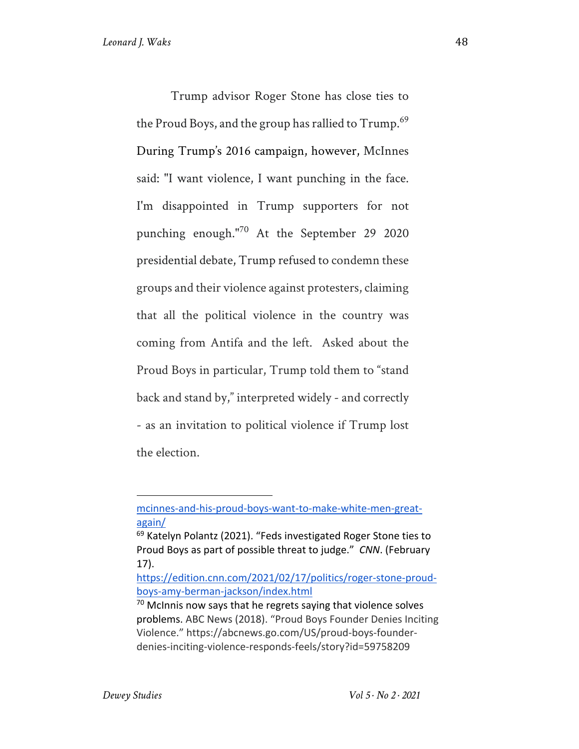Trump advisor Roger Stone has close ties to the Proud Boys, and the group has rallied to Trump.<sup>69</sup> During Trump's 2016 campaign, however, McInnes said: "I want violence, I want punching in the face. I'm disappointed in Trump supporters for not punching enough."<sup>70</sup> At the September 29 2020 presidential debate, Trump refused to condemn these groups and their violence against protesters, claiming that all the political violence in the country was coming from Antifa and the left. Asked about the Proud Boys in particular, Trump told them to "stand back and stand by," interpreted widely - and correctly - as an invitation to political violence if Trump lost the election.

mcinnes-and-his-proud-boys-want-to-make-white-men-greatagain/

 $69$  Katelyn Polantz (2021). "Feds investigated Roger Stone ties to Proud Boys as part of possible threat to judge." *CNN*. (February 17).

https://edition.cnn.com/2021/02/17/politics/roger-stone-proudboys-amy-berman-jackson/index.html

 $70$  McInnis now says that he regrets saying that violence solves problems. ABC News (2018). "Proud Boys Founder Denies Inciting Violence." https://abcnews.go.com/US/proud-boys-founderdenies-inciting-violence-responds-feels/story?id=59758209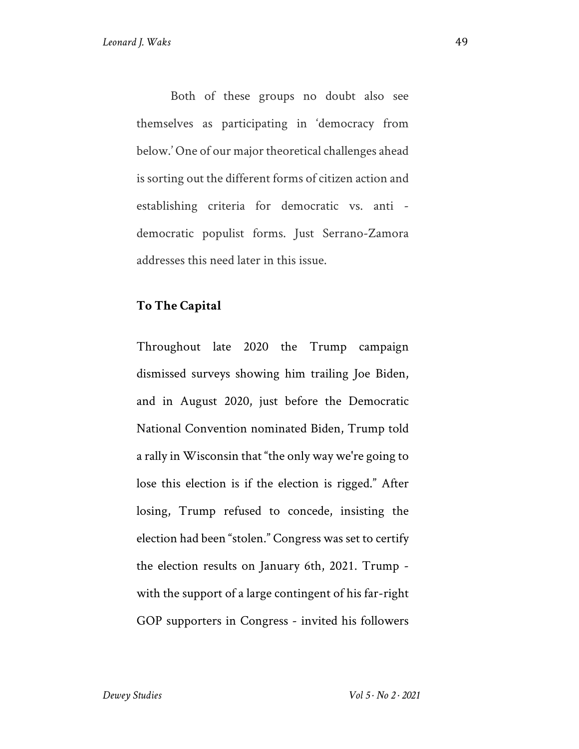Both of these groups no doubt also see themselves as participating in 'democracy from below.' One of our major theoretical challenges ahead is sorting out the different forms of citizen action and establishing criteria for democratic vs. anti democratic populist forms. Just Serrano-Zamora addresses this need later in this issue.

#### **To The Capital**

Throughout late 2020 the Trump campaign dismissed surveys showing him trailing Joe Biden, and in August 2020, just before the Democratic National Convention nominated Biden, Trump told a rally in Wisconsin that "the only way we're going to lose this election is if the election is rigged." After losing, Trump refused to concede, insisting the election had been "stolen." Congress was set to certify the election results on January 6th, 2021. Trump with the support of a large contingent of his far-right GOP supporters in Congress - invited his followers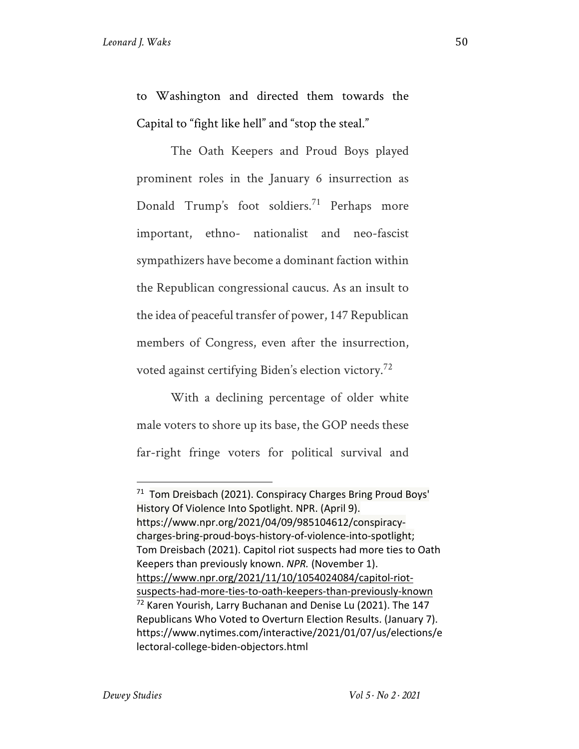to Washington and directed them towards the Capital to "fight like hell" and "stop the steal."

The Oath Keepers and Proud Boys played prominent roles in the January 6 insurrection as Donald Trump's foot soldiers.<sup>71</sup> Perhaps more important, ethno- nationalist and neo-fascist sympathizers have become a dominant faction within the Republican congressional caucus. As an insult to the idea of peaceful transfer of power, 147 Republican members of Congress, even after the insurrection, voted against certifying Biden's election victory.<sup>72</sup>

With a declining percentage of older white male voters to shore up its base, the GOP needs these far-right fringe voters for political survival and

 $71$  Tom Dreisbach (2021). Conspiracy Charges Bring Proud Boys' History Of Violence Into Spotlight. NPR. (April 9). https://www.npr.org/2021/04/09/985104612/conspiracycharges-bring-proud-boys-history-of-violence-into-spotlight; Tom Dreisbach (2021). Capitol riot suspects had more ties to Oath Keepers than previously known. *NPR.* (November 1). https://www.npr.org/2021/11/10/1054024084/capitol-riotsuspects-had-more-ties-to-oath-keepers-than-previously-known <sup>72</sup> Karen Yourish, Larry Buchanan and Denise Lu (2021). The 147 Republicans Who Voted to Overturn Election Results. (January 7). https://www.nytimes.com/interactive/2021/01/07/us/elections/e lectoral-college-biden-objectors.html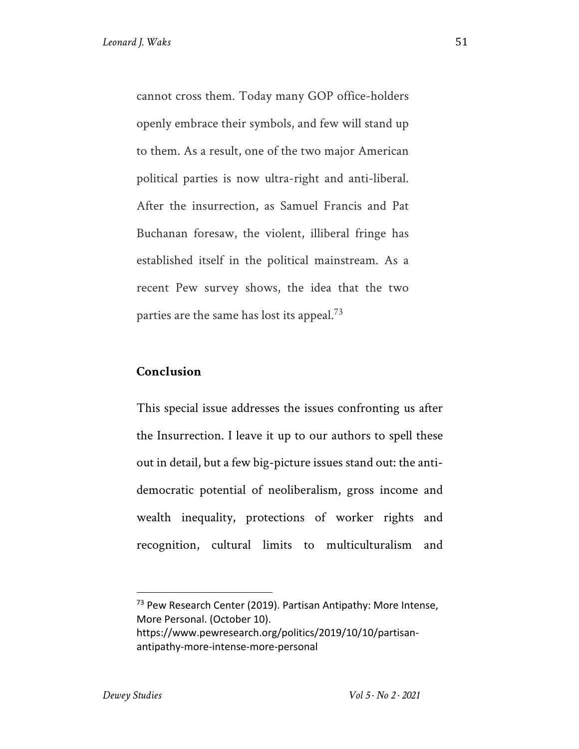cannot cross them. Today many GOP office-holders openly embrace their symbols, and few will stand up to them. As a result, one of the two major American political parties is now ultra-right and anti-liberal. After the insurrection, as Samuel Francis and Pat Buchanan foresaw, the violent, illiberal fringe has established itself in the political mainstream. As a recent Pew survey shows, the idea that the two parties are the same has lost its appeal.<sup>73</sup>

#### **Conclusion**

This special issue addresses the issues confronting us after the Insurrection. I leave it up to our authors to spell these out in detail, but a few big-picture issues stand out: the antidemocratic potential of neoliberalism, gross income and wealth inequality, protections of worker rights and recognition, cultural limits to multiculturalism and

<sup>73</sup> Pew Research Center (2019). Partisan Antipathy: More Intense, More Personal. (October 10). https://www.pewresearch.org/politics/2019/10/10/partisanantipathy-more-intense-more-personal